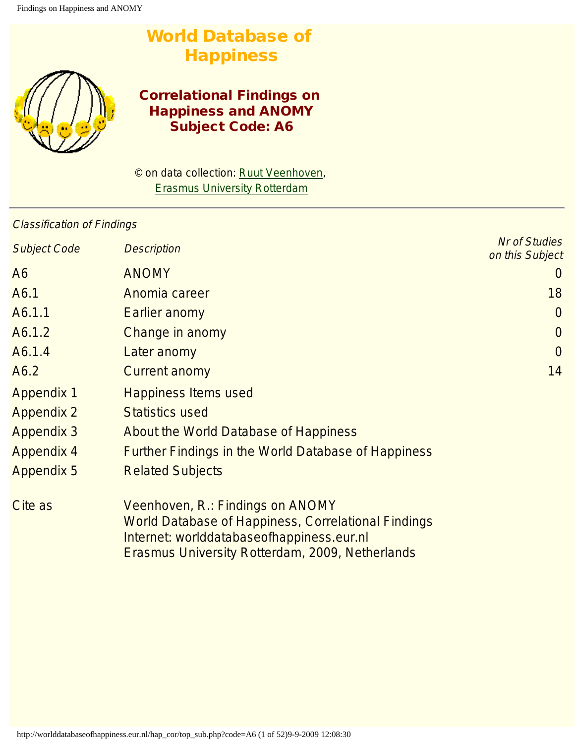# World Database of **Happiness**



# Correlational Findings on Happiness and ANOMY Subject Code: A6

© on data collection: [Ruut Veenhoven,](http://www.eur.nl/fsw/research/veenhoven) [Erasmus University Rotterdam](http://www.eur.nl/)

## Classification of Findings

| <b>Subject Code</b> | <b>Description</b>                                                                                                                                                                             | <b>Nr of Studies</b><br>on this Subject |
|---------------------|------------------------------------------------------------------------------------------------------------------------------------------------------------------------------------------------|-----------------------------------------|
| A <sub>6</sub>      | <b>ANOMY</b>                                                                                                                                                                                   | $\cup$                                  |
| A6.1                | Anomia career                                                                                                                                                                                  | 18                                      |
| A6.1.1              | Earlier anomy                                                                                                                                                                                  | $\overline{0}$                          |
| A6.1.2              | <b>Change in anomy</b>                                                                                                                                                                         | $\overline{0}$                          |
| A6.1.4              | Later anomy                                                                                                                                                                                    | $\overline{0}$                          |
| A6.2                | <b>Current anomy</b>                                                                                                                                                                           | 14                                      |
| <b>Appendix 1</b>   | <b>Happiness Items used</b>                                                                                                                                                                    |                                         |
| <b>Appendix 2</b>   | <b>Statistics used</b>                                                                                                                                                                         |                                         |
| <b>Appendix 3</b>   | About the World Database of Happiness                                                                                                                                                          |                                         |
| <b>Appendix 4</b>   | <b>Further Findings in the World Database of Happiness</b>                                                                                                                                     |                                         |
| <b>Appendix 5</b>   | <b>Related Subjects</b>                                                                                                                                                                        |                                         |
| Cite as             | Veenhoven, R.: Findings on ANOMY<br><b>World Database of Happiness, Correlational Findings</b><br>Internet: worlddatabaseofhappiness.eur.nl<br>Erasmus University Rotterdam, 2009, Netherlands |                                         |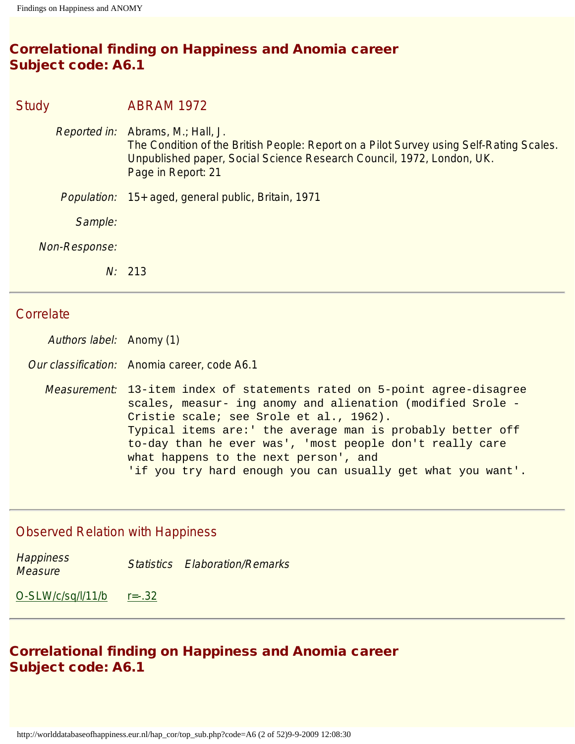# Correlational finding on Happiness and Anomia career Subject code: A6.1

# Study **ABRAM 1972** Reported in: Abrams, M.; Hall, J. The Condition of the British People: Report on a Pilot Survey using Self-Rating Scales. Unpublished paper, Social Science Research Council, 1972, London, UK. Page in Report: 21 Population: 15+ aged, general public, Britain, 1971 Sample: Non-Response: N: 213

#### **Correlate**

Authors label: Anomy (1)

Our classification: Anomia career, code A6.1

Measurement: 13-item index of statements rated on 5-point agree-disagree scales, measur- ing anomy and alienation (modified Srole - Cristie scale; see Srole et al., 1962). Typical items are:' the average man is probably better off to-day than he ever was', 'most people don't really care what happens to the next person', and 'if you try hard enough you can usually get what you want'.

## Observed Relation with Happiness

| <b>Happiness</b> | <b>Statistics Elaboration/Remarks</b> |
|------------------|---------------------------------------|
| <b>Measure</b>   |                                       |

[O-SLW/c/sq/l/11/b](#page-43-0) [r=-.32](#page-45-0)

# Correlational finding on Happiness and Anomia career Subject code: A6.1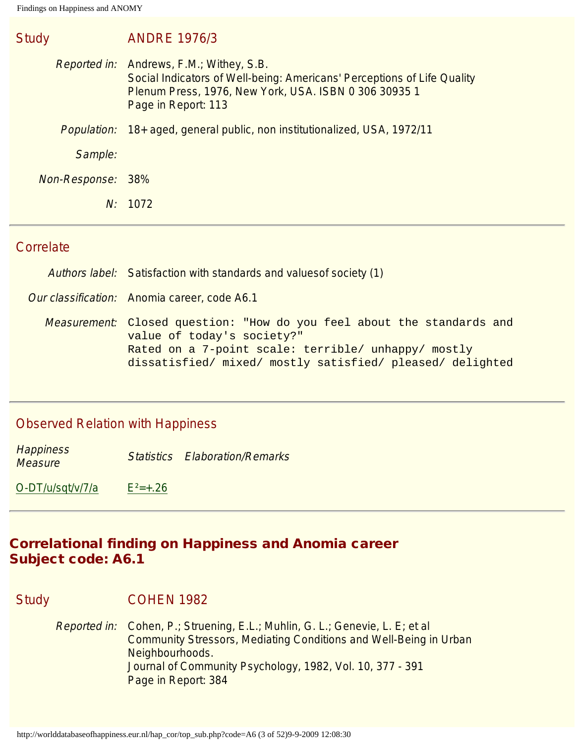| <b>Study</b>      | <b>ANDRE 1976/3</b>                                                                                                                                                                                        |
|-------------------|------------------------------------------------------------------------------------------------------------------------------------------------------------------------------------------------------------|
|                   | <i>Reported in:</i> Andrews, F.M.; Withey, S.B.<br>Social Indicators of Well-being: Americans' Perceptions of Life Quality<br>Plenum Press, 1976, New York, USA. ISBN 0 306 30935 1<br>Page in Report: 113 |
|                   | Population: 18+ aged, general public, non institutionalized, USA, 1972/11                                                                                                                                  |
| Sample:           |                                                                                                                                                                                                            |
| Non-Response: 38% |                                                                                                                                                                                                            |
|                   | N: 1072                                                                                                                                                                                                    |

#### **Correlate**

|  |  | Authors label: Satisfaction with standards and values of society (1) |  |  |  |  |
|--|--|----------------------------------------------------------------------|--|--|--|--|
|--|--|----------------------------------------------------------------------|--|--|--|--|

Our classification: Anomia career, code A6.1

Measurement: Closed question: "How do you feel about the standards and value of today's society?" Rated on a 7-point scale: terrible/ unhappy/ mostly dissatisfied/ mixed/ mostly satisfied/ pleased/ delighted

#### Observed Relation with Happiness

**Happiness Measure Statistics Elaboration/Remarks**<br>Measure

 $O-DT/u/sqt/v/7/a$   $E^2=+.26$ 

### Correlational finding on Happiness and Anomia career Subject code: A6.1

#### Study **COHEN 1982**

Reported in: Cohen, P.; Struening, E.L.; Muhlin, G. L.; Genevie, L. E; et al Community Stressors, Mediating Conditions and Well-Being in Urban Neighbourhoods. Journal of Community Psychology, 1982, Vol. 10, 377 - 391 Page in Report: 384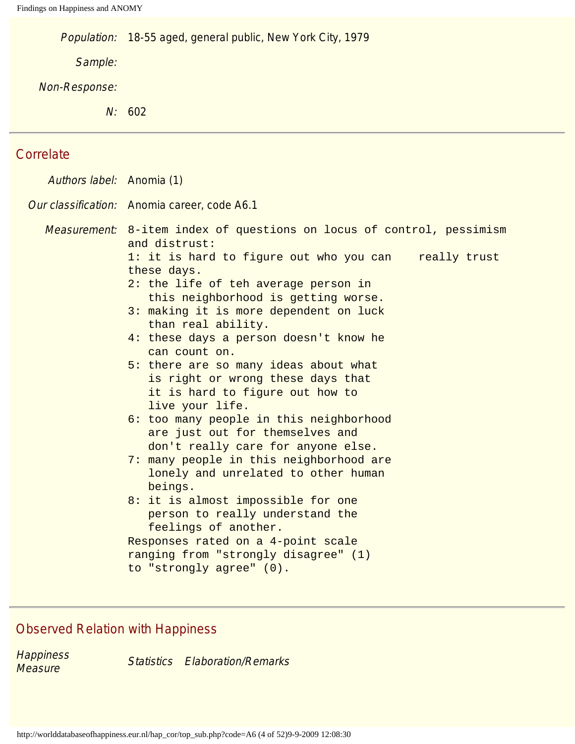Population: 18-55 aged, general public, New York City, 1979

Sample:

Non-Response:

N: 602

# **Correlate**

| Authors label: Anomia (1) |                                                                                                                                                                                                                                                                                                                                                                                                                                                                                                                                                                                                                                                                                                                                                                                                                                                                                                                                            |  |
|---------------------------|--------------------------------------------------------------------------------------------------------------------------------------------------------------------------------------------------------------------------------------------------------------------------------------------------------------------------------------------------------------------------------------------------------------------------------------------------------------------------------------------------------------------------------------------------------------------------------------------------------------------------------------------------------------------------------------------------------------------------------------------------------------------------------------------------------------------------------------------------------------------------------------------------------------------------------------------|--|
|                           | Our classification: Anomia career, code A6.1                                                                                                                                                                                                                                                                                                                                                                                                                                                                                                                                                                                                                                                                                                                                                                                                                                                                                               |  |
|                           | Measurement: 8-item index of questions on locus of control, pessimism<br>and distrust:<br>1: it is hard to figure out who you can<br>really trust<br>these days.<br>2: the life of teh average person in<br>this neighborhood is getting worse.<br>3: making it is more dependent on luck<br>than real ability.<br>4: these days a person doesn't know he<br>can count on.<br>5: there are so many ideas about what<br>is right or wrong these days that<br>it is hard to figure out how to<br>live your life.<br>6: too many people in this neighborhood<br>are just out for themselves and<br>don't really care for anyone else.<br>7: many people in this neighborhood are<br>lonely and unrelated to other human<br>beings.<br>8: it is almost impossible for one<br>person to really understand the<br>feelings of another.<br>Responses rated on a 4-point scale<br>ranging from "strongly disagree" (1)<br>to "strongly agree" (0). |  |
|                           |                                                                                                                                                                                                                                                                                                                                                                                                                                                                                                                                                                                                                                                                                                                                                                                                                                                                                                                                            |  |

# Observed Relation with Happiness

**Happiness** 

**Measure Statistics Elaboration/Remarks**<br>Measure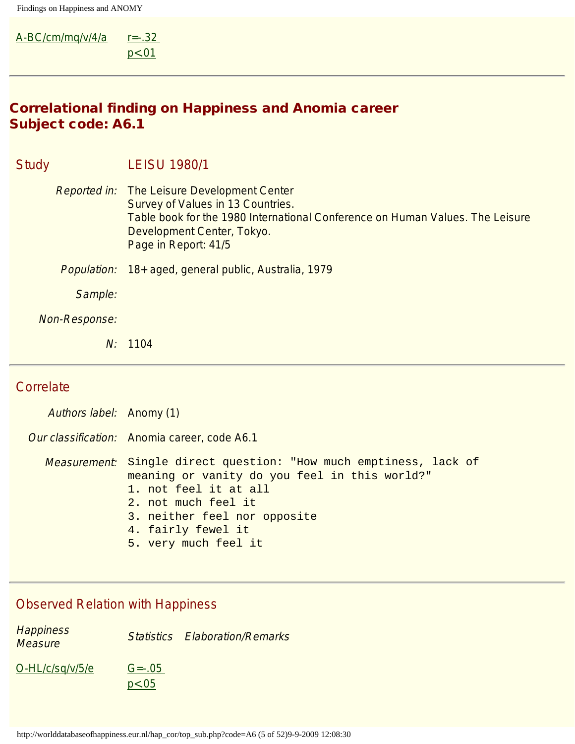$A-BC/cm/mq/v/4/a$   $r=-.32$ [p<.01](#page-45-0)

# Correlational finding on Happiness and Anomia career Subject code: A6.1

| <b>Study</b> |                    | <b>LEISU 1980/1</b>                                                                                                                                                                                                            |
|--------------|--------------------|--------------------------------------------------------------------------------------------------------------------------------------------------------------------------------------------------------------------------------|
|              |                    | <b>Reported in:</b> The Leisure Development Center<br>Survey of Values in 13 Countries.<br>Table book for the 1980 International Conference on Human Values. The Leisure<br>Development Center, Tokyo.<br>Page in Report: 41/5 |
|              | <i>Population:</i> | 18+ aged, general public, Australia, 1979                                                                                                                                                                                      |
|              | Sample:            |                                                                                                                                                                                                                                |
|              | Non-Response:      |                                                                                                                                                                                                                                |
|              | N:                 | 1104                                                                                                                                                                                                                           |

# **Correlate**

| Authors label: Anomy (1) |                                                                                                                                                                                                                                                          |  |
|--------------------------|----------------------------------------------------------------------------------------------------------------------------------------------------------------------------------------------------------------------------------------------------------|--|
|                          | Our classification: Anomia career, code A6.1                                                                                                                                                                                                             |  |
|                          | <i>Measurement</i> : Single direct question: "How much emptiness, lack of<br>meaning or vanity do you feel in this world?"<br>1. not feel it at all<br>2. not much feel it<br>3. neither feel nor opposite<br>4. fairly fewel it<br>5. very much feel it |  |

## Observed Relation with Happiness

**Happiness Trappriless**<br>Measure **Statistics Elaboration/Remarks** [O-HL/c/sq/v/5/e](#page-41-0) [G=-.05](#page-45-2)  [p<.05](#page-45-2)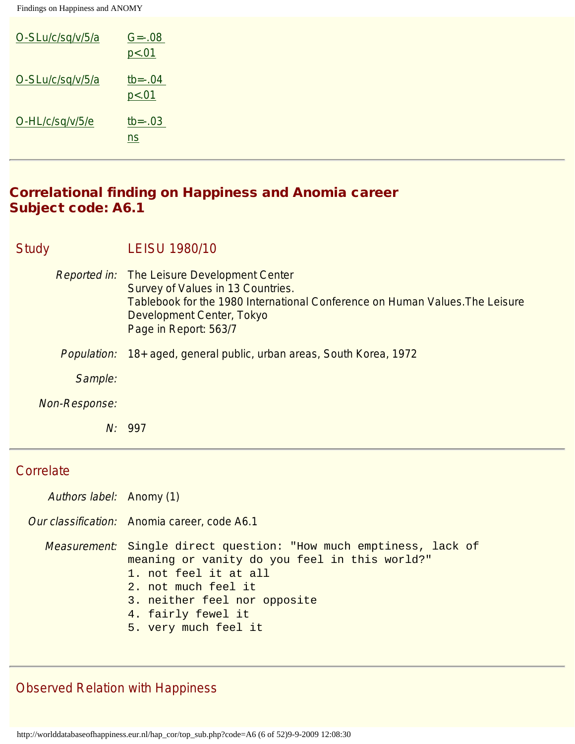| O-SLu/c/sq/v/5/a | $G = -0.08$<br>p < .01                  |
|------------------|-----------------------------------------|
| O-SLu/c/sq/v/5/a | $tb = -04$<br>p < .01                   |
| O-HL/c/sq/v/5/e  | $tb = -03$<br>$\underline{\mathsf{ns}}$ |

### Correlational finding on Happiness and Anomia career Subject code: A6.1

| <b>Study</b>       | <b>LEISU 1980/10</b>                                                                                                                                                                                                   |
|--------------------|------------------------------------------------------------------------------------------------------------------------------------------------------------------------------------------------------------------------|
|                    | Reported in: The Leisure Development Center<br>Survey of Values in 13 Countries.<br>Tablebook for the 1980 International Conference on Human Values. The Leisure<br>Development Center, Tokyo<br>Page in Report: 563/7 |
| <i>Population:</i> | 18+ aged, general public, urban areas, South Korea, 1972                                                                                                                                                               |
| Sample:            |                                                                                                                                                                                                                        |
| Non-Response:      |                                                                                                                                                                                                                        |
|                    | 997<br>$N$ :                                                                                                                                                                                                           |

## **Correlate**

| Authors label: Anomy (1) |  |
|--------------------------|--|
|                          |  |

Our classification: Anomia career, code A6.1

Measurement: Single direct question: "How much emptiness, lack of meaning or vanity do you feel in this world?" 1. not feel it at all

- 2. not much feel it
- 3. neither feel nor opposite
- 4. fairly fewel it
- 5. very much feel it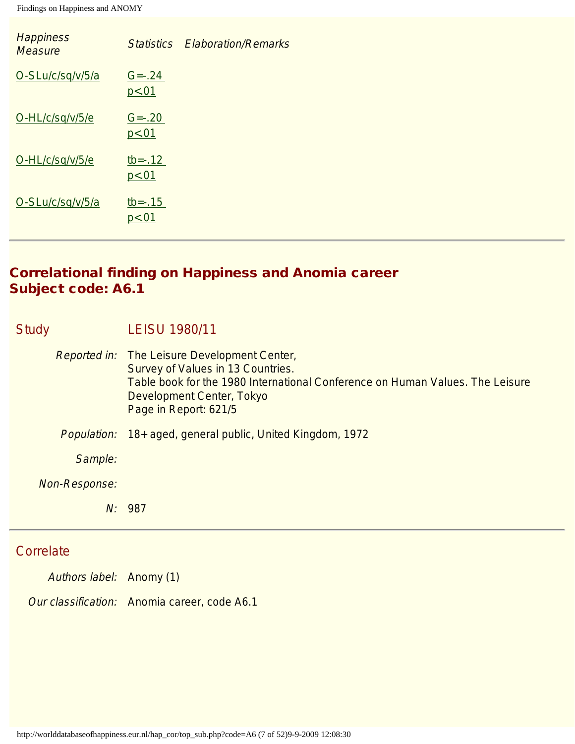| <b>Happiness</b><br><b>Measure</b> | <b>Statistics</b>       | <b>Elaboration/Remarks</b> |
|------------------------------------|-------------------------|----------------------------|
| O-SLu/c/sq/v/5/a                   | $G = -24$<br>p < .01    |                            |
| O-HL/c/sq/v/5/e                    | $G = -20$<br>p < .01    |                            |
| O-HL/c/sq/v/5/e                    | $tb = -0.12$<br>p < .01 |                            |
| O-SLu/c/sq/v/5/a                   | $tb = -0.15$<br>p < .01 |                            |

# Correlational finding on Happiness and Anomia career Subject code: A6.1

| <b>Study</b> |               | <b>LEISU 1980/11</b>                                                                                                                                                                                                            |
|--------------|---------------|---------------------------------------------------------------------------------------------------------------------------------------------------------------------------------------------------------------------------------|
|              |               | <i>Reported in:</i> The Leisure Development Center,<br>Survey of Values in 13 Countries.<br>Table book for the 1980 International Conference on Human Values. The Leisure<br>Development Center, Tokyo<br>Page in Report: 621/5 |
|              | Population:   | 18+ aged, general public, United Kingdom, 1972                                                                                                                                                                                  |
|              | Sample:       |                                                                                                                                                                                                                                 |
|              | Non-Response: |                                                                                                                                                                                                                                 |
|              | N:            | 987                                                                                                                                                                                                                             |

# **Correlate**

Authors label: Anomy (1)

Our classification: Anomia career, code A6.1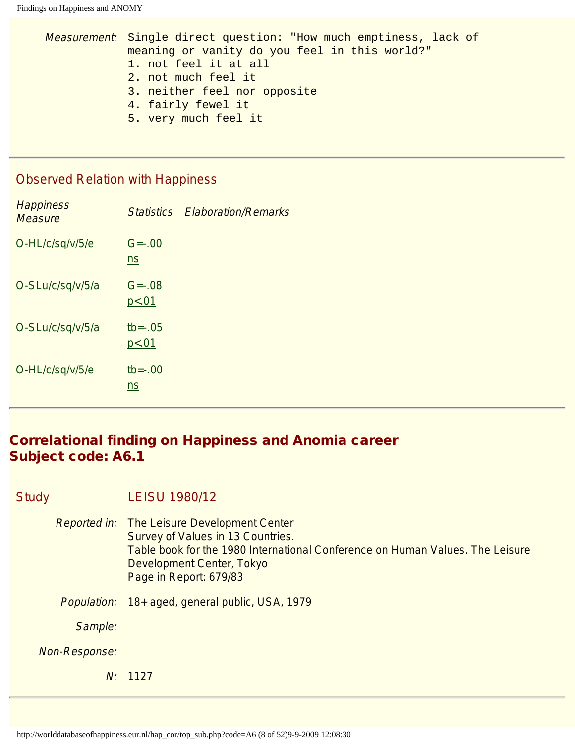```
Measurement: Single direct question: "How much emptiness, lack of 
meaning or vanity do you feel in this world?"
1. not feel it at all
2. not much feel it
3. neither feel nor opposite
4. fairly fewel it
5. very much feel it
```
#### Observed Relation with Happiness

| <b>Happiness</b><br><b>Measure</b> |                        | <b>Statistics Elaboration/Remarks</b> |
|------------------------------------|------------------------|---------------------------------------|
| O-HL/c/sq/v/5/e                    | $G = -0.00$<br>ns      |                                       |
| O-SLu/c/sq/v/5/a                   | $G = -0.08$<br>p < .01 |                                       |
| O-SLu/c/sq/v/5/a                   | $tb = -.05$<br>p<.01   |                                       |
| O-HL/c/sq/v/5/e                    | $tb = -.00$<br>ns      |                                       |

## Correlational finding on Happiness and Anomia career Subject code: A6.1

#### Study LEISU 1980/12

- Reported in: The Leisure Development Center Survey of Values in 13 Countries. Table book for the 1980 International Conference on Human Values. The Leisure Development Center, Tokyo Page in Report: 679/83
- Population: 18+ aged, general public, USA, 1979

Sample:

Non-Response:

N: 1127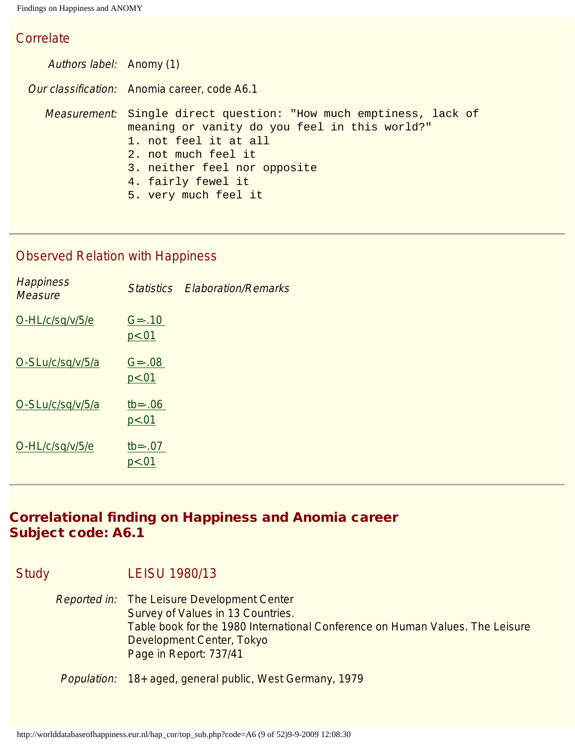#### **Correlate**

Authors label: Anomy (1) Our classification: Anomia career, code A6.1 Measurement: Single direct question: "How much emptiness, lack of meaning or vanity do you feel in this world?" 1. not feel it at all 2. not much feel it 3. neither feel nor opposite 4. fairly fewel it 5. very much feel it

## Observed Relation with Happiness

|                        | <b>Statistics Elaboration/Remarks</b> |
|------------------------|---------------------------------------|
| $G = -0.10$<br>p<.01   |                                       |
| $G = -0.08$<br>p < .01 |                                       |
| $tb = -.06$<br>p < .01 |                                       |
| $tb = -.07$<br>p<.01   |                                       |
|                        |                                       |

# Correlational finding on Happiness and Anomia career Subject code: A6.1

Study LEISU 1980/13

Reported in: The Leisure Development Center Survey of Values in 13 Countries. Table book for the 1980 International Conference on Human Values. The Leisure Development Center, Tokyo Page in Report: 737/41

Population: 18+ aged, general public, West Germany, 1979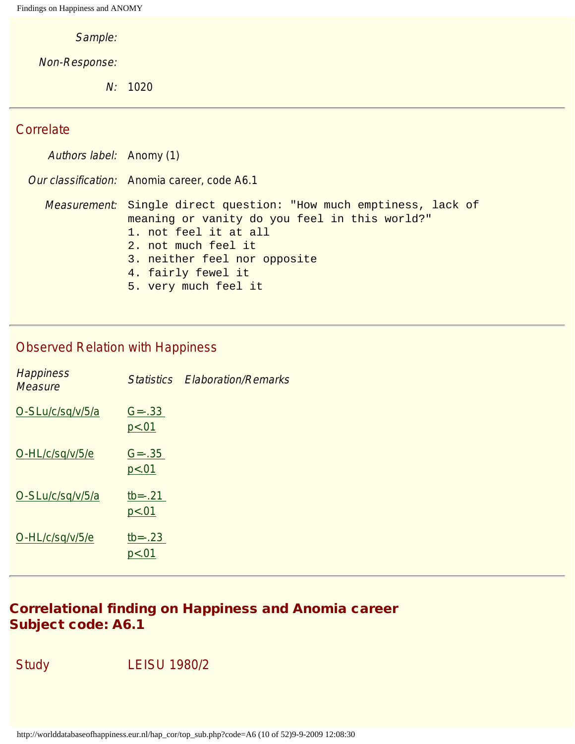Sample:

Non-Response:

N: 1020

#### **Correlate**

Authors label: Anomy (1) Our classification: Anomia career, code A6.1 Measurement: Single direct question: "How much emptiness, lack of meaning or vanity do you feel in this world?" 1. not feel it at all 2. not much feel it 3. neither feel nor opposite 4. fairly fewel it 5. very much feel it

#### Observed Relation with Happiness

| <b>Happiness</b><br><b>Measure</b> | <b>Statistics</b>       | <b>Elaboration/Remarks</b> |
|------------------------------------|-------------------------|----------------------------|
| O-SLu/c/sq/v/5/a                   | $G = -0.33$<br>p < .01  |                            |
| O-HL/c/sq/v/5/e                    | $G = -0.35$<br>p < .01  |                            |
| O-SLu/c/sq/v/5/a                   | $tb = -0.21$<br>p < .01 |                            |
| O-HL/c/sq/v/5/e                    | $tb = -0.23$<br>p < .01 |                            |

## Correlational finding on Happiness and Anomia career Subject code: A6.1

Study LEISU 1980/2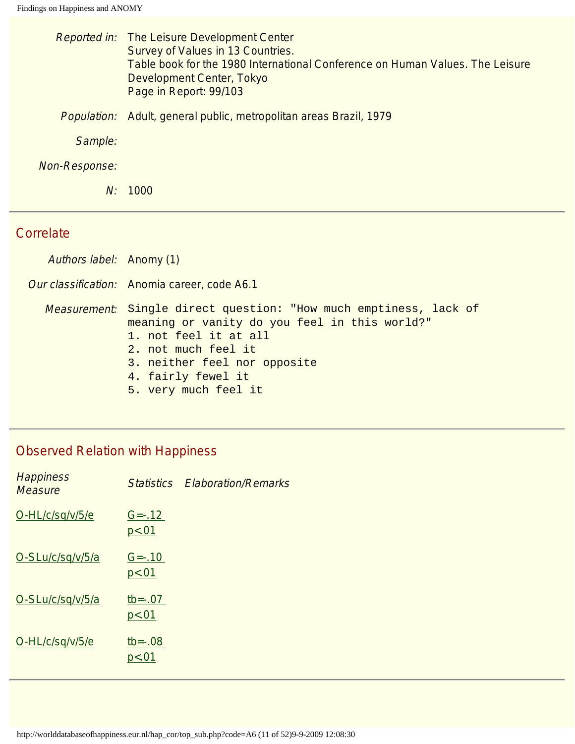|                    | <i>Reported in:</i> The Leisure Development Center<br>Survey of Values in 13 Countries.<br>Table book for the 1980 International Conference on Human Values. The Leisure<br>Development Center, Tokyo<br>Page in Report: 99/103 |
|--------------------|---------------------------------------------------------------------------------------------------------------------------------------------------------------------------------------------------------------------------------|
| <i>Population:</i> | Adult, general public, metropolitan areas Brazil, 1979                                                                                                                                                                          |
| Sample:            |                                                                                                                                                                                                                                 |
| Non-Response:      |                                                                                                                                                                                                                                 |
| N:                 | 1000                                                                                                                                                                                                                            |

#### **Correlate**

Authors label: Anomy (1)

Our classification: Anomia career, code A6.1

Measurement: Single direct question: "How much emptiness, lack of meaning or vanity do you feel in this world?" 1. not feel it at all

- 2. not much feel it
- 3. neither feel nor opposite
- 4. fairly fewel it
- 5. very much feel it

| <b>Happiness</b><br><b>Measure</b> |                      | <b>Statistics Elaboration/Remarks</b> |
|------------------------------------|----------------------|---------------------------------------|
| O-HL/c/sq/v/5/e                    | $G = -0.12$<br>p<.01 |                                       |
| O-SLu/c/sq/v/5/a                   | $G = -0.10$<br>p<.01 |                                       |
| O-SLu/c/sq/v/5/a                   | $tb = -.07$<br>p<.01 |                                       |
| O-HL/c/sq/v/5/e                    | $tb = -.08$<br>p<.01 |                                       |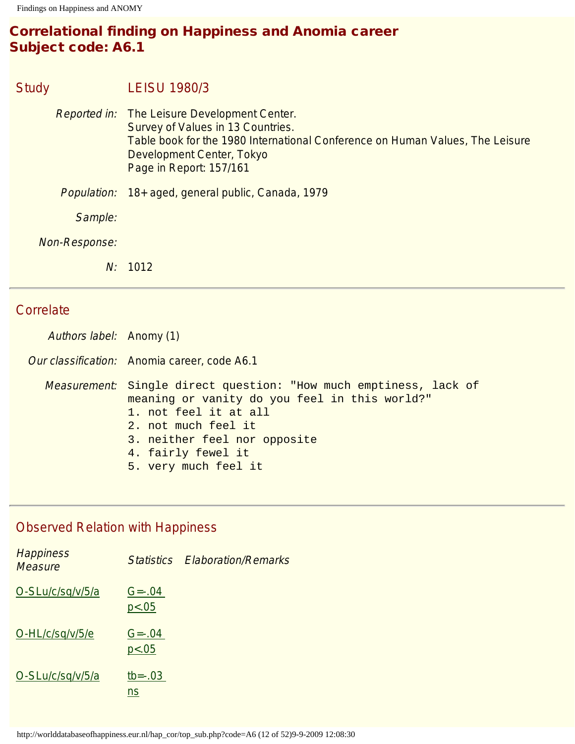# Correlational finding on Happiness and Anomia career Subject code: A6.1

## Study LEISU 1980/3

Reported in: The Leisure Development Center. Survey of Values in 13 Countries. Table book for the 1980 International Conference on Human Values, The Leisure Development Center, Tokyo Page in Report: 157/161 Population: 18+ aged, general public, Canada, 1979 Sample: Non-Response:

N: 1012

### Correlate

Authors label: Anomy (1)

Our classification: Anomia career, code A6.1

Measurement: Single direct question: "How much emptiness, lack of meaning or vanity do you feel in this world?" 1. not feel it at all 2. not much feel it 3. neither feel nor opposite 4. fairly fewel it 5. very much feel it

| <b>Happiness</b><br><b>Measure</b> |                        | <b>Statistics Elaboration/Remarks</b> |
|------------------------------------|------------------------|---------------------------------------|
| O-SLu/c/sq/v/5/a                   | $G = -0.04$<br>p<.05   |                                       |
| O-HL/c/sq/v/5/e                    | $G = -0.04$<br>p < .05 |                                       |
| O-SLu/c/sq/v/5/a                   | $tb = -03$<br>ns       |                                       |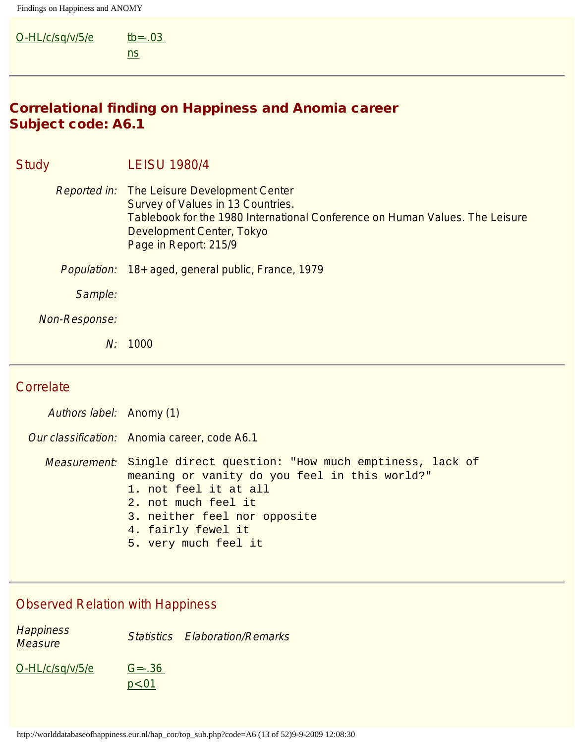| O-HL/c/sq/v/5/e | tb= $-.03$ |
|-----------------|------------|
|                 | ns         |

# Correlational finding on Happiness and Anomia career Subject code: A6.1

| <b>Study</b>  |         | <b>LEISU 1980/4</b>                                                                                                                                                                                                           |
|---------------|---------|-------------------------------------------------------------------------------------------------------------------------------------------------------------------------------------------------------------------------------|
|               |         | <i>Reported in:</i> The Leisure Development Center<br>Survey of Values in 13 Countries.<br>Tablebook for the 1980 International Conference on Human Values. The Leisure<br>Development Center, Tokyo<br>Page in Report: 215/9 |
| Population:   |         | 18+ aged, general public, France, 1979                                                                                                                                                                                        |
|               | Sample: |                                                                                                                                                                                                                               |
| Non-Response: |         |                                                                                                                                                                                                                               |
|               | N:      | 1000                                                                                                                                                                                                                          |

# **Correlate**

| Authors label: Anomy (1) |                                                                                                                                                                                                                                                          |
|--------------------------|----------------------------------------------------------------------------------------------------------------------------------------------------------------------------------------------------------------------------------------------------------|
|                          | Our classification: Anomia career, code A6.1                                                                                                                                                                                                             |
|                          | <i>Measurement</i> : Single direct question: "How much emptiness, lack of<br>meaning or vanity do you feel in this world?"<br>1. not feel it at all<br>2. not much feel it<br>3. neither feel nor opposite<br>4. fairly fewel it<br>5. very much feel it |

## Observed Relation with Happiness

**Happiness Measure Statistics Elaboration/Remarks**<br>Measure  $O-HL/c/sq/v/5/e$   $G=-.36$  $p < .01$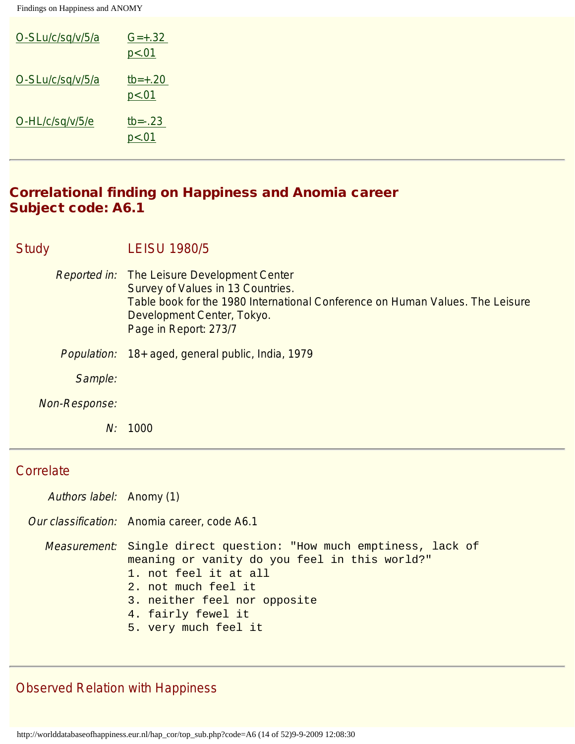| O-SLu/c/sq/v/5/a | $G=+.32$<br>p < .01     |
|------------------|-------------------------|
| O-SLu/c/sq/v/5/a | $tb=+.20$<br>p < .01    |
| O-HL/c/sq/v/5/e  | $tb = -0.23$<br>p < .01 |

#### Correlational finding on Happiness and Anomia career Subject code: A6.1

| Study | <b>LEISU 1980/5</b> |
|-------|---------------------|
|-------|---------------------|

- Reported in: The Leisure Development Center Survey of Values in 13 Countries. Table book for the 1980 International Conference on Human Values. The Leisure Development Center, Tokyo. Page in Report: 273/7
- Population: 18+ aged, general public, India, 1979

Sample:

Non-Response:

N: 1000

#### **Correlate**

Authors label: Anomy (1)

Our classification: Anomia career, code A6.1

Measurement: Single direct question: "How much emptiness, lack of meaning or vanity do you feel in this world?" 1. not feel it at all

- 2. not much feel it
- 3. neither feel nor opposite
- 4. fairly fewel it
- 5. very much feel it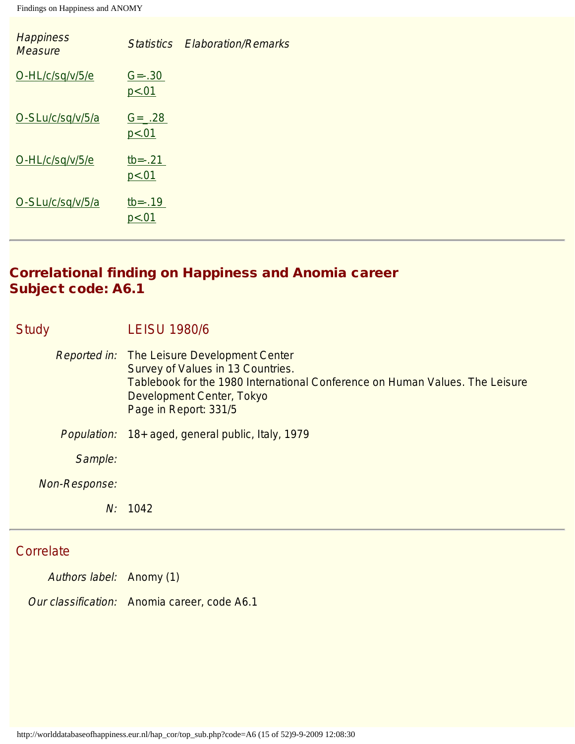| <b>Happiness</b><br><b>Measure</b> | <b>Statistics</b>       | <b>Elaboration/Remarks</b> |
|------------------------------------|-------------------------|----------------------------|
| O-HL/c/sq/v/5/e                    | $G = -.30$<br>p < .01   |                            |
| O-SLu/c/sq/v/5/a                   | $G = 28$<br>p < .01     |                            |
| O-HL/c/sq/v/5/e                    | $tb = -0.21$<br>p < .01 |                            |
| O-SLu/c/sq/v/5/a                   | $tb = -0.19$<br>p < .01 |                            |

# Correlational finding on Happiness and Anomia career Subject code: A6.1

| <b>Study</b> |               | <b>LEISU 1980/6</b>                                                                                                                                                                                                           |
|--------------|---------------|-------------------------------------------------------------------------------------------------------------------------------------------------------------------------------------------------------------------------------|
|              |               | <b>Reported in:</b> The Leisure Development Center<br>Survey of Values in 13 Countries.<br>Tablebook for the 1980 International Conference on Human Values. The Leisure<br>Development Center, Tokyo<br>Page in Report: 331/5 |
|              | Population:   | 18+ aged, general public, Italy, 1979                                                                                                                                                                                         |
|              | Sample:       |                                                                                                                                                                                                                               |
|              | Non-Response: |                                                                                                                                                                                                                               |
|              | N:            | 1042                                                                                                                                                                                                                          |

# **Correlate**

Authors label: Anomy (1)

Our classification: Anomia career, code A6.1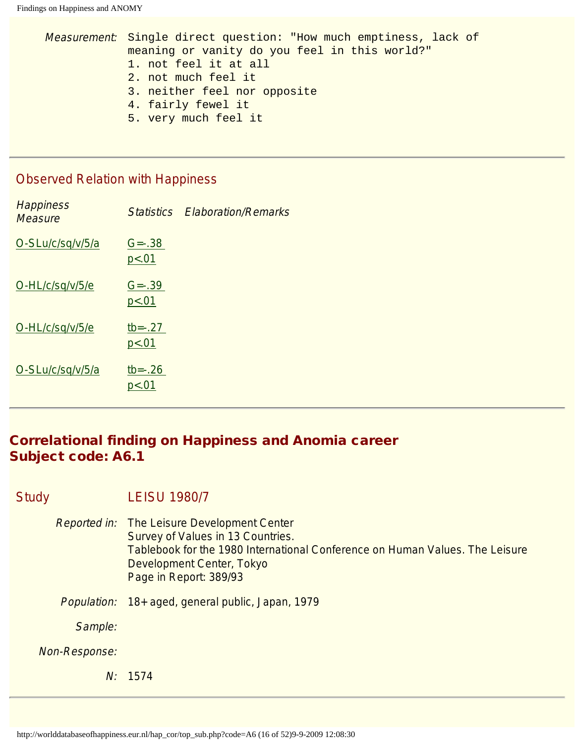```
Measurement: Single direct question: "How much emptiness, lack of 
meaning or vanity do you feel in this world?"
1. not feel it at all
2. not much feel it
3. neither feel nor opposite
4. fairly fewel it
5. very much feel it
```
#### Observed Relation with Happiness

| <b>Happiness</b><br><b>Measure</b> |                         | <b>Statistics Flaboration/Remarks</b> |
|------------------------------------|-------------------------|---------------------------------------|
| O-SLu/c/sq/v/5/a                   | $G = -0.38$<br>p<.01    |                                       |
| O-HL/c/sq/v/5/e                    | $G = -0.39$<br>p<.01    |                                       |
| O-HL/c/sq/v/5/e                    | $tb = -0.27$<br>p < .01 |                                       |
| O-SLu/c/sq/v/5/a                   | $tb = -.26$<br>p<.01    |                                       |

# Correlational finding on Happiness and Anomia career Subject code: A6.1

#### Study LEISU 1980/7

- Reported in: The Leisure Development Center Survey of Values in 13 Countries. Tablebook for the 1980 International Conference on Human Values. The Leisure Development Center, Tokyo Page in Report: 389/93
- Population: 18+ aged, general public, Japan, 1979

Sample:

Non-Response:

N: 1574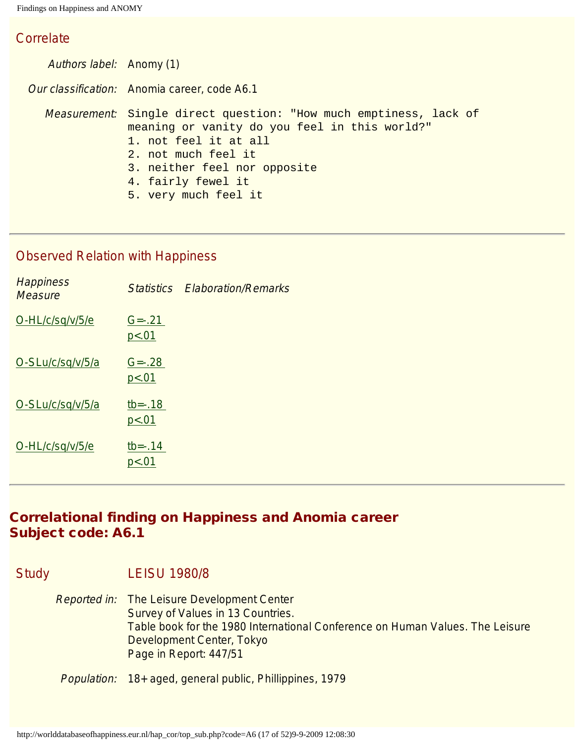#### **Correlate**

Authors label: Anomy (1) Our classification: Anomia career, code A6.1 Measurement: Single direct question: "How much emptiness, lack of meaning or vanity do you feel in this world?" 1. not feel it at all 2. not much feel it 3. neither feel nor opposite 4. fairly fewel it 5. very much feel it

### Observed Relation with Happiness

|                       | <b>Statistics Elaboration/Remarks</b> |
|-----------------------|---------------------------------------|
| $G = -21$<br>p < .01  |                                       |
| $G = -28$<br>p < .01  |                                       |
| $tb = -.18$<br>p<.01  |                                       |
| $tb = -0.14$<br>p<.01 |                                       |
|                       |                                       |

# Correlational finding on Happiness and Anomia career Subject code: A6.1

Study LEISU 1980/8

Reported in: The Leisure Development Center Survey of Values in 13 Countries. Table book for the 1980 International Conference on Human Values. The Leisure Development Center, Tokyo Page in Report: 447/51

Population: 18+ aged, general public, Phillippines, 1979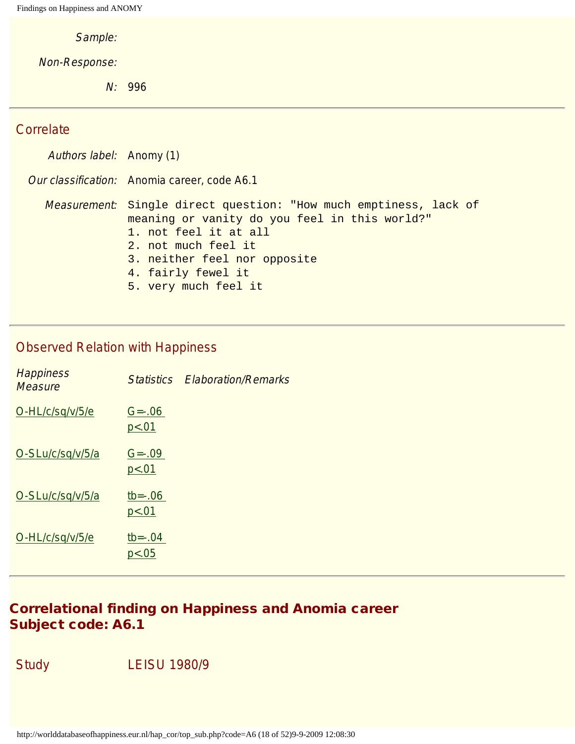Sample:

Non-Response:

N: 996

#### **Correlate**

Authors label: Anomy (1) Our classification: Anomia career, code A6.1 Measurement: Single direct question: "How much emptiness, lack of meaning or vanity do you feel in this world?" 1. not feel it at all 2. not much feel it 3. neither feel nor opposite 4. fairly fewel it 5. very much feel it

#### Observed Relation with Happiness

| <b>Happiness</b><br><b>Measure</b> | <b>Statistics</b>      | <b>Elaboration/Remarks</b> |
|------------------------------------|------------------------|----------------------------|
| O-HL/c/sq/v/5/e                    | $G = -0.06$<br>p < .01 |                            |
| O-SLu/c/sq/v/5/a                   | $G = -0.09$<br>p < .01 |                            |
| O-SLu/c/sq/v/5/a                   | $tb = -.06$<br>p < .01 |                            |
| O-HL/c/sq/v/5/e                    | $tb = -04$<br>p < .05  |                            |

## Correlational finding on Happiness and Anomia career Subject code: A6.1

Study LEISU 1980/9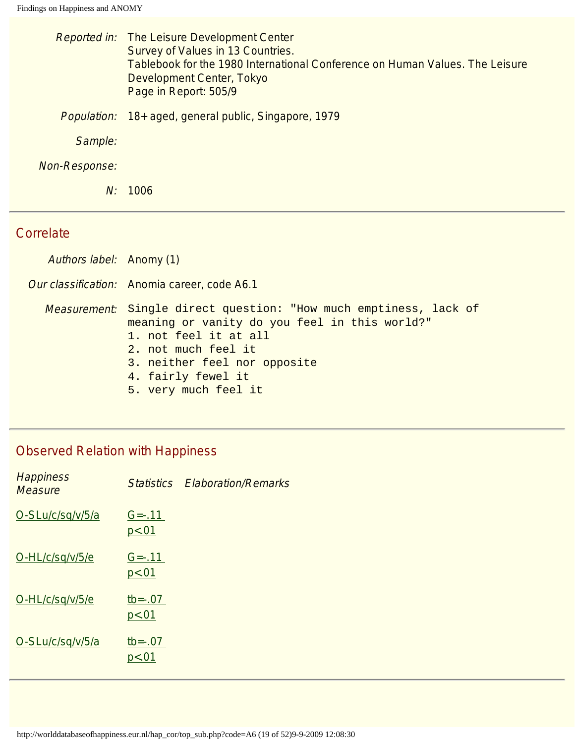|                    | <b>Reported in:</b> The Leisure Development Center<br>Survey of Values in 13 Countries.<br>Tablebook for the 1980 International Conference on Human Values. The Leisure<br>Development Center, Tokyo<br>Page in Report: 505/9 |
|--------------------|-------------------------------------------------------------------------------------------------------------------------------------------------------------------------------------------------------------------------------|
| <i>Population:</i> | 18+ aged, general public, Singapore, 1979                                                                                                                                                                                     |
| Sample:            |                                                                                                                                                                                                                               |
| Non-Response:      |                                                                                                                                                                                                                               |
| N:                 | 1006                                                                                                                                                                                                                          |

#### **Correlate**

Authors label: Anomy (1)

Our classification: Anomia career, code A6.1

Measurement: Single direct question: "How much emptiness, lack of meaning or vanity do you feel in this world?" 1. not feel it at all

- 2. not much feel it
- 3. neither feel nor opposite
- 4. fairly fewel it
- 5. very much feel it

| <b>Happiness</b><br><b>Measure</b> |                        | <b>Statistics Elaboration/Remarks</b> |
|------------------------------------|------------------------|---------------------------------------|
| O-SLu/c/sq/v/5/a                   | $G = -11$<br>p<.01     |                                       |
| O-HL/c/sq/v/5/e                    | $G = -0.11$<br>p < .01 |                                       |
| O-HL/c/sq/v/5/e                    | $tb = -.07$<br>p<.01   |                                       |
| O-SLu/c/sq/v/5/a                   | $tb = -.07$<br>p<.01   |                                       |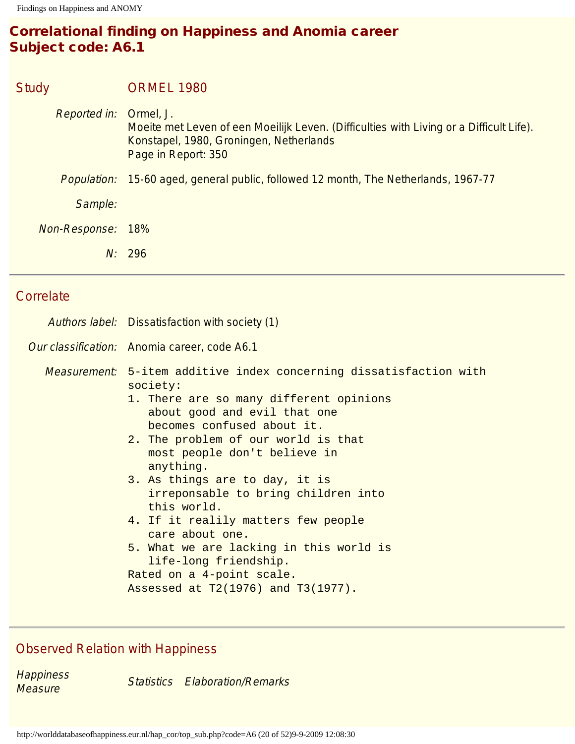# Correlational finding on Happiness and Anomia career Subject code: A6.1

| <b>Study</b>        | <b>ORMEL 1980</b>                                                                                                                                                      |
|---------------------|------------------------------------------------------------------------------------------------------------------------------------------------------------------------|
| <b>Reported in:</b> | Ormel, J.<br>Moeite met Leven of een Moeilijk Leven. (Difficulties with Living or a Difficult Life).<br>Konstapel, 1980, Groningen, Netherlands<br>Page in Report: 350 |
|                     | <i>Population:</i> 15-60 aged, general public, followed 12 month, The Netherlands, 1967-77                                                                             |
| Sample:             |                                                                                                                                                                        |
| Non-Response:       | 18%                                                                                                                                                                    |
|                     | N: 296                                                                                                                                                                 |
|                     |                                                                                                                                                                        |

# **Correlate**

| Authors label: Dissatisfaction with society (1)                                                                                                                                                                                                                                                                                                                                                                                                                                                                                                                      |  |  |
|----------------------------------------------------------------------------------------------------------------------------------------------------------------------------------------------------------------------------------------------------------------------------------------------------------------------------------------------------------------------------------------------------------------------------------------------------------------------------------------------------------------------------------------------------------------------|--|--|
| Our classification: Anomia career, code A6.1                                                                                                                                                                                                                                                                                                                                                                                                                                                                                                                         |  |  |
| Measurement: 5-item additive index concerning dissatisfaction with<br>society:<br>1. There are so many different opinions<br>about good and evil that one<br>becomes confused about it.<br>2. The problem of our world is that<br>most people don't believe in<br>anything.<br>3. As things are to day, it is<br>irreponsable to bring children into<br>this world.<br>4. If it realily matters few people<br>care about one.<br>5. What we are lacking in this world is<br>life-long friendship.<br>Rated on a 4-point scale.<br>Assessed at T2(1976) and T3(1977). |  |  |

# Observed Relation with Happiness

**Happiness Measure Statistics Elaboration/Remarks**<br>Measure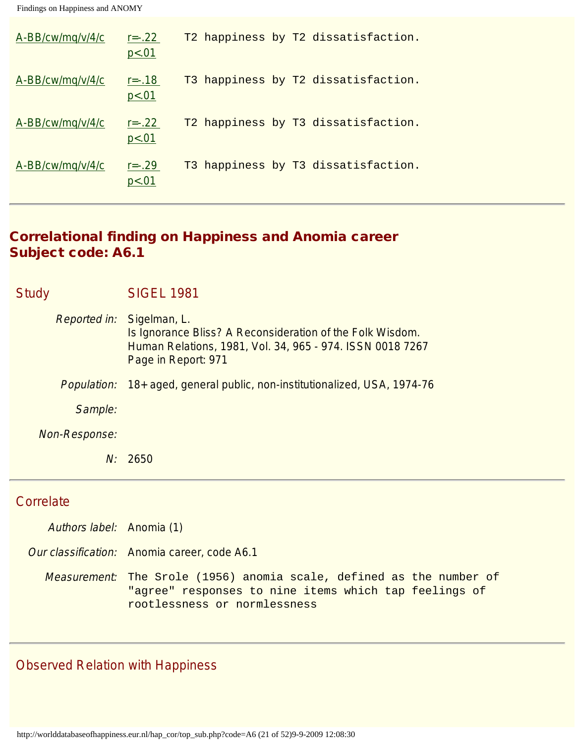| A-BB/cw/mq/v/4/c | $r = -22$<br>p < .01 | T2 happiness by T2 dissatisfaction. |
|------------------|----------------------|-------------------------------------|
| A-BB/cw/mg/v/4/c | $r = -18$<br>p<.01   | T3 happiness by T2 dissatisfaction. |
| A-BB/cw/mg/v/4/c | $r = -22$<br>p<.01   | T2 happiness by T3 dissatisfaction. |
| A-BB/cw/mg/v/4/c | $r = -0.29$<br>p<.01 | T3 happiness by T3 dissatisfaction. |

# Correlational finding on Happiness and Anomia career Subject code: A6.1

| Study |                                  | <b>SIGEL 1981</b>                                                                                                                             |
|-------|----------------------------------|-----------------------------------------------------------------------------------------------------------------------------------------------|
|       | <i>Reported in:</i> Sigelman, L. | Is Ignorance Bliss? A Reconsideration of the Folk Wisdom.<br>Human Relations, 1981, Vol. 34, 965 - 974. ISSN 0018 7267<br>Page in Report: 971 |
|       | Population:                      | 18+ aged, general public, non-institutionalized, USA, 1974-76                                                                                 |
|       | Sample:                          |                                                                                                                                               |
|       | Non-Response:                    |                                                                                                                                               |
|       | N:                               | 2650                                                                                                                                          |

# **Correlate**

| Authors label: Anomia (1) |                                                                                                                                                               |
|---------------------------|---------------------------------------------------------------------------------------------------------------------------------------------------------------|
|                           | Our classification: Anomia career, code A6.1                                                                                                                  |
|                           | Measurement: The Srole (1956) anomia scale, defined as the number of<br>"agree" responses to nine items which tap feelings of<br>rootlessness or normlessness |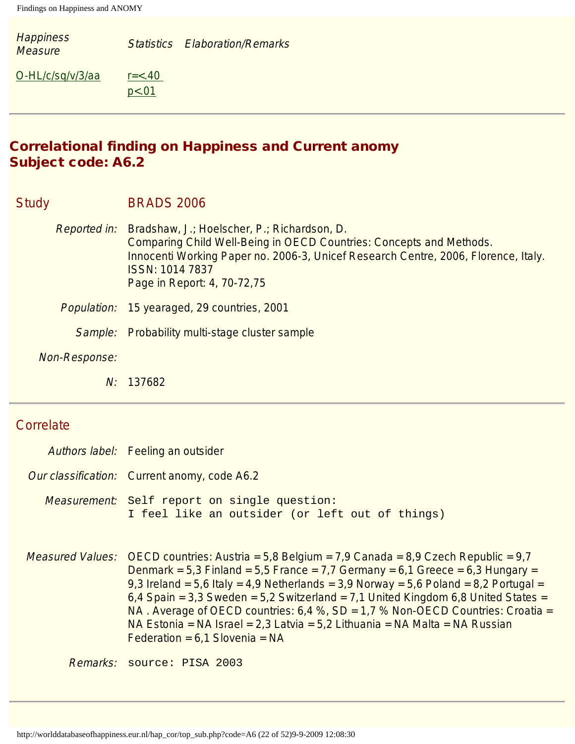| <b>Happiness</b><br><b>Measure</b> |                        | <b>Statistics Elaboration/Remarks</b> |
|------------------------------------|------------------------|---------------------------------------|
| O-HL/c/sq/v/3/aa                   | $r = < .40$<br>p < .01 |                                       |

# Correlational finding on Happiness and Current anomy Subject code: A6.2

#### Study BRADS 2006

- Reported in: Bradshaw, J.; Hoelscher, P.; Richardson, D. Comparing Child Well-Being in OECD Countries: Concepts and Methods. Innocenti Working Paper no. 2006-3, Unicef Research Centre, 2006, Florence, Italy. ISSN: 1014 7837 Page in Report: 4, 70-72,75
- Population: 15 yearaged, 29 countries, 2001
	- Sample: Probability multi-stage cluster sample
- Non-Response:
	- N: 137682

# **Correlate**

| Authors label: Feeling an outsider                                                                                                                                                                                                                                                                                                                                                                                                                                                                                                                                                         |
|--------------------------------------------------------------------------------------------------------------------------------------------------------------------------------------------------------------------------------------------------------------------------------------------------------------------------------------------------------------------------------------------------------------------------------------------------------------------------------------------------------------------------------------------------------------------------------------------|
| Our classification: Current anomy, code A6.2                                                                                                                                                                                                                                                                                                                                                                                                                                                                                                                                               |
| Measurement: Self report on single question:<br>I feel like an outsider (or left out of things)                                                                                                                                                                                                                                                                                                                                                                                                                                                                                            |
| <i>Measured Values:</i> OECD countries: Austria = $5,8$ Belgium = $7,9$ Canada = $8,9$ Czech Republic = $9,7$<br>Denmark = 5,3 Finland = 5,5 France = 7,7 Germany = $6,1$ Greece = $6,3$ Hungary =<br>9,3 Ireland = 5,6 Italy = 4,9 Netherlands = 3,9 Norway = 5,6 Poland = 8,2 Portugal =<br>$6,4$ Spain = 3,3 Sweden = 5,2 Switzerland = 7,1 United Kingdom 6,8 United States =<br>NA. Average of OECD countries: $6.4$ %, SD = $1.7$ % Non-OECD Countries: Croatia =<br>NA Estonia = NA Israel = 2,3 Latvia = 5,2 Lithuania = NA Malta = NA Russian<br>Federation = $6.1$ Slovenia = NA |
| Remarks: source: PISA 2003                                                                                                                                                                                                                                                                                                                                                                                                                                                                                                                                                                 |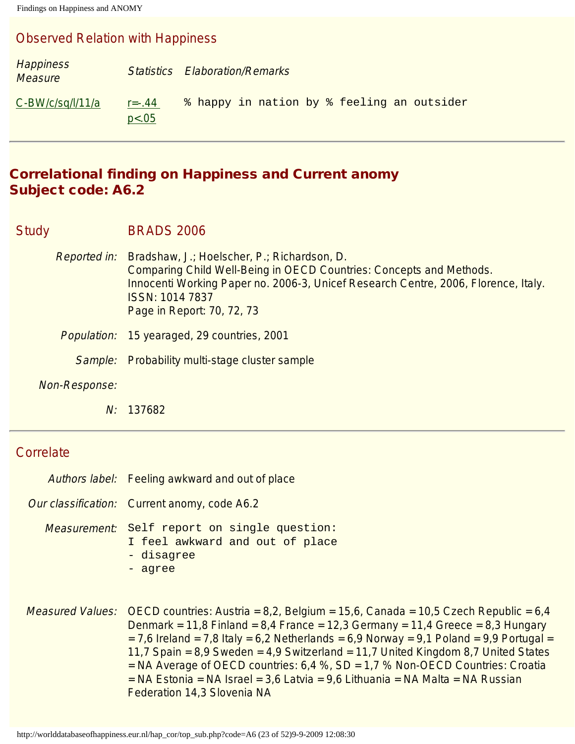#### Observed Relation with Happiness

| <b>Happiness</b><br><b>Measure</b> |                        | <b>Statistics Elaboration/Remarks</b>      |
|------------------------------------|------------------------|--------------------------------------------|
| $C-BW/c/sq/l/11/a$                 | $r = -0.44$<br>p < .05 | % happy in nation by % feeling an outsider |

### Correlational finding on Happiness and Current anomy Subject code: A6.2

Study BRADS 2006

- Reported in: Bradshaw, J.; Hoelscher, P.; Richardson, D. Comparing Child Well-Being in OECD Countries: Concepts and Methods. Innocenti Working Paper no. 2006-3, Unicef Research Centre, 2006, Florence, Italy. ISSN: 1014 7837 Page in Report: 70, 72, 73
- Population: 15 yearaged, 29 countries, 2001
	- Sample: Probability multi-stage cluster sample
- Non-Response:
	- N: 137682

#### **Correlate**

- Authors label: Feeling awkward and out of place Our classification: Current anomy, code A6.2
- - Measurement: Self report on single question: I feel awkward and out of place - disagree - agree
- *Measured Values:* OECD countries: Austria =  $8,2$ , Belgium =  $15,6$ , Canada =  $10,5$  Czech Republic =  $6,4$ Denmark = 11,8 Finland =  $8,4$  France = 12,3 Germany = 11,4 Greece =  $8,3$  Hungary  $= 7.6$  Ireland  $= 7.8$  Italy  $= 6.2$  Netherlands  $= 6.9$  Norway  $= 9.1$  Poland  $= 9.9$  Portugal  $= 1.6$ 11,7 Spain = 8,9 Sweden = 4,9 Switzerland = 11,7 United Kingdom 8,7 United States  $=$  NA Average of OECD countries: 6,4 %, SD  $=$  1,7 % Non-OECD Countries: Croatia  $=$  NA Estonia = NA Israel = 3,6 Latvia = 9,6 Lithuania = NA Malta = NA Russian Federation 14,3 Slovenia NA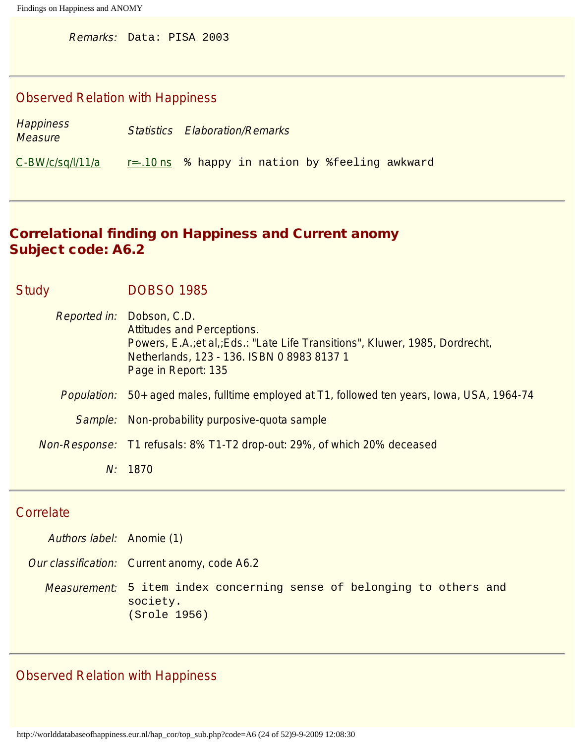Remarks: Data: PISA 2003

## Observed Relation with Happiness

| Happiness<br><i>Measure</i> | <b>Statistics Elaboration/Remarks</b>           |
|-----------------------------|-------------------------------------------------|
| $C-BW/c/sq/l/11/a$          | r=-.10 ns % happy in nation by %feeling awkward |

# Correlational finding on Happiness and Current anomy Subject code: A6.2

| <b>Study</b> |                    | <b>DOBSO 1985</b>                                                                                                                                                                                                 |
|--------------|--------------------|-------------------------------------------------------------------------------------------------------------------------------------------------------------------------------------------------------------------|
|              |                    | Reported in: Dobson, C.D.<br><b>Attitudes and Perceptions.</b><br>Powers, E.A.; et al.; Eds.: "Late Life Transitions", Kluwer, 1985, Dordrecht,<br>Netherlands, 123 - 136. ISBN 0898381371<br>Page in Report: 135 |
|              | <i>Population:</i> | 50+ aged males, fulltime employed at T1, followed ten years, Iowa, USA, 1964-74                                                                                                                                   |
|              | Sample:            | Non-probability purposive-quota sample                                                                                                                                                                            |
|              |                    | Non-Response: T1 refusals: 8% T1-T2 drop-out: 29%, of which 20% deceased                                                                                                                                          |
|              | N:                 | 1870                                                                                                                                                                                                              |

## **Correlate**

| Authors label: Anomie (1) |                                                                                                   |
|---------------------------|---------------------------------------------------------------------------------------------------|
|                           | <i>Our classification:</i> Current anomy, code A6.2                                               |
|                           | Measurement: 5 item index concerning sense of belonging to others and<br>society.<br>(Srole 1956) |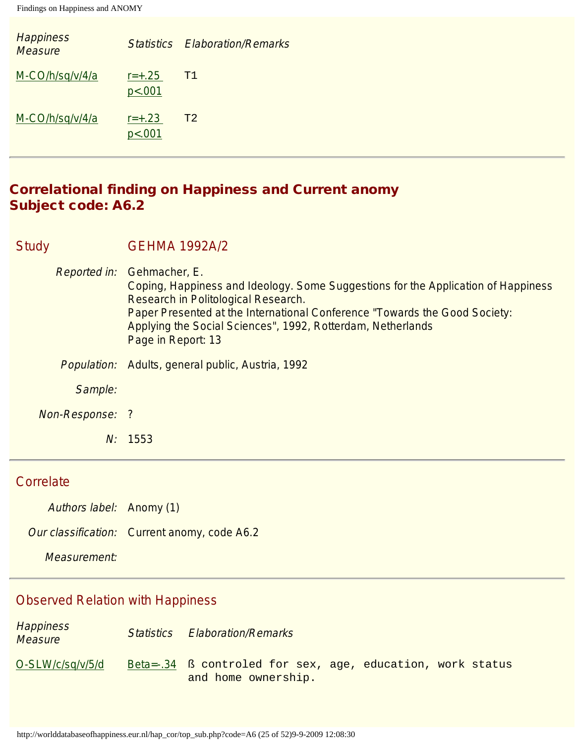| <b>Happiness</b><br><b>Measure</b> |                      | <b>Statistics Elaboration/Remarks</b> |
|------------------------------------|----------------------|---------------------------------------|
| M-CO/h/sq/v/4/a                    | $r = +.25$<br>p<.001 | T1                                    |
| M-CO/h/sq/v/4/a                    | $r = +.23$<br>p<.001 | T <sub>2</sub>                        |

# Correlational finding on Happiness and Current anomy Subject code: A6.2

| Study |                 | <b>GEHMA 1992A/2</b>                                                                                                                                                                                                                                                                                                      |
|-------|-----------------|---------------------------------------------------------------------------------------------------------------------------------------------------------------------------------------------------------------------------------------------------------------------------------------------------------------------------|
|       |                 | Reported in: Gehmacher, E.<br>Coping, Happiness and Ideology. Some Suggestions for the Application of Happiness<br>Research in Politological Research.<br>Paper Presented at the International Conference "Towards the Good Society:<br>Applying the Social Sciences", 1992, Rotterdam, Netherlands<br>Page in Report: 13 |
|       |                 | Population: Adults, general public, Austria, 1992                                                                                                                                                                                                                                                                         |
|       | Sample:         |                                                                                                                                                                                                                                                                                                                           |
|       | Non-Response: ? |                                                                                                                                                                                                                                                                                                                           |
|       |                 | N: 1553                                                                                                                                                                                                                                                                                                                   |

#### **Correlate**

Authors label: Anomy (1)

Our classification: Current anomy, code A6.2

Measurement:

| <b>Happiness</b><br><b>Measure</b> | <b>Statistics Elaboration/Remarks</b>                                             |
|------------------------------------|-----------------------------------------------------------------------------------|
| O-SLW/c/sq/v/5/d                   | Beta=-.34 ß controled for sex, age, education, work status<br>and home ownership. |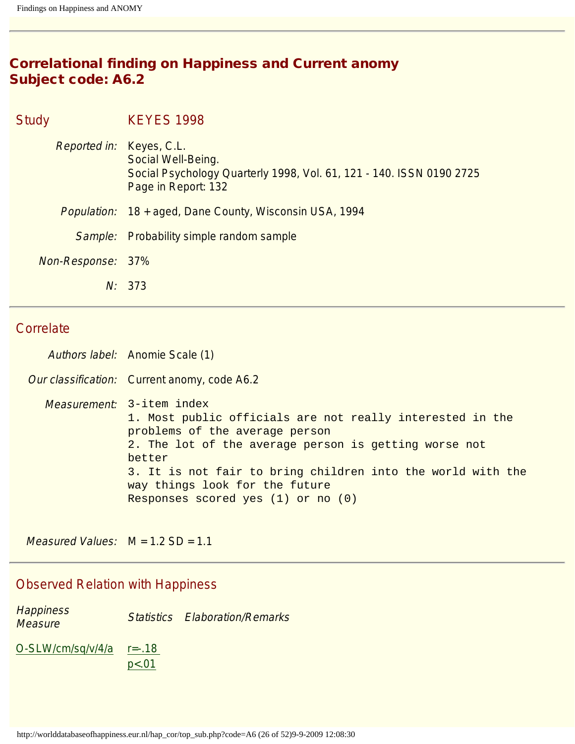# Correlational finding on Happiness and Current anomy Subject code: A6.2

Study **KEYES** 1998 Reported in: Keyes, C.L. Social Well-Being. Social Psychology Quarterly 1998, Vol. 61, 121 - 140. ISSN 0190 2725 Page in Report: 132 Population: 18 + aged, Dane County, Wisconsin USA, 1994 Sample: Probability simple random sample Non-Response: 37% N: 373

## **Correlate**

| Authors label: Anomie Scale (1)                                                                                                                                                                                                                                                                                                               |
|-----------------------------------------------------------------------------------------------------------------------------------------------------------------------------------------------------------------------------------------------------------------------------------------------------------------------------------------------|
| Our classification: Current anomy, code A6.2                                                                                                                                                                                                                                                                                                  |
| <i>Measurement:</i> 3-item index<br>1. Most public officials are not really interested in the<br>problems of the average person<br>2. The lot of the average person is getting worse not<br>better<br>3. It is not fair to bring children into the world with the<br>way things look for the future<br>Responses scored yes $(1)$ or no $(0)$ |

Measured Values:  $M = 1.2$  SD = 1.1

| <b>Happiness</b><br><b>Measure</b> |       | <b>Statistics Elaboration/Remarks</b> |
|------------------------------------|-------|---------------------------------------|
| $O-SLW/cm/sq/v/4/a$ $r=-.18$       | p<.01 |                                       |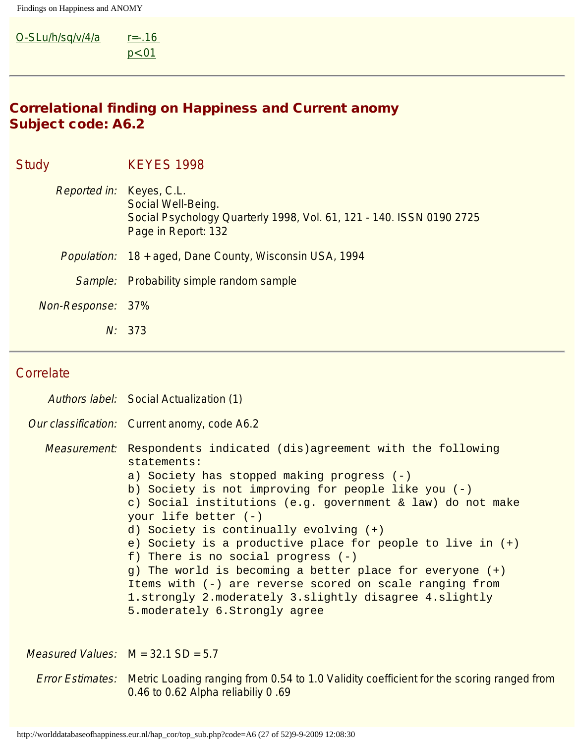#### $O-SLu/h/sq/v/4/a$   $r=-.16$ [p<.01](#page-45-0)

# Correlational finding on Happiness and Current anomy Subject code: A6.2

| <b>Study</b> |                   | <b>KEYES 1998</b>                                                                                                                             |
|--------------|-------------------|-----------------------------------------------------------------------------------------------------------------------------------------------|
|              |                   | Reported in: Keyes, C.L.<br>Social Well-Being.<br>Social Psychology Quarterly 1998, Vol. 61, 121 - 140. ISSN 0190 2725<br>Page in Report: 132 |
|              |                   | Population: 18 + aged, Dane County, Wisconsin USA, 1994                                                                                       |
|              | Sample:           | <b>Probability simple random sample</b>                                                                                                       |
|              | Non-Response: 37% |                                                                                                                                               |
|              | N:                | 373                                                                                                                                           |

### **Correlate**

| Authors label: Social Actualization (1)                                                                                                                                                                                                                                                                                                                                                                                                                                                                                                                                                                                                                             |
|---------------------------------------------------------------------------------------------------------------------------------------------------------------------------------------------------------------------------------------------------------------------------------------------------------------------------------------------------------------------------------------------------------------------------------------------------------------------------------------------------------------------------------------------------------------------------------------------------------------------------------------------------------------------|
| Our classification: Current anomy, code A6.2                                                                                                                                                                                                                                                                                                                                                                                                                                                                                                                                                                                                                        |
| <i>Measurement:</i> Respondents indicated (dis)agreement with the following<br>statements:<br>a) Society has stopped making progress $(-)$<br>b) Society is not improving for people like you $(-)$<br>c) Social institutions (e.g. government & law) do not make<br>your life better $(-)$<br>d) Society is continually evolving $(+)$<br>e) Society is a productive place for people to live in $(+)$<br>f) There is no social progress $(-)$<br>g) The world is becoming a better place for everyone (+)<br>Items with (-) are reverse scored on scale ranging from<br>1.strongly 2.moderately 3.slightly disagree 4.slightly<br>5. moderately 6. Strongly agree |

Measured Values: M = 32.1 SD = 5.7

Error Estimates: Metric Loading ranging from 0.54 to 1.0 Validity coefficient for the scoring ranged from 0.46 to 0.62 Alpha reliabiliy 0 .69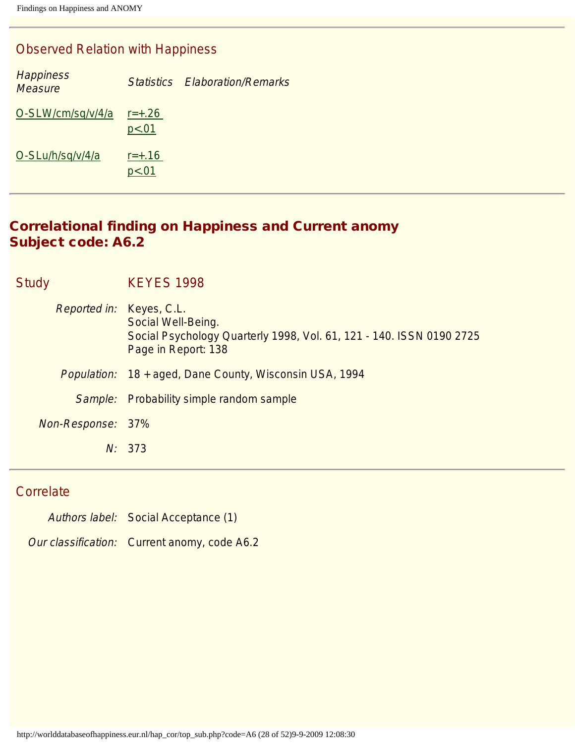## Observed Relation with Happiness

| <b>Happiness</b><br><b>Measure</b> |                     | Statistics Flaboration/Remarks |
|------------------------------------|---------------------|--------------------------------|
| O-SLW/cm/sq/v/4/a                  | $r = +.26$<br>p<.01 |                                |
| O-SLu/h/sq/v/4/a                   | $r = +.16$<br>p<.01 |                                |

# Correlational finding on Happiness and Current anomy Subject code: A6.2

| Study             | <b>KEYES 1998</b>                                                                                                                                    |
|-------------------|------------------------------------------------------------------------------------------------------------------------------------------------------|
|                   | <i>Reported in:</i> Keyes, C.L.<br>Social Well-Being.<br>Social Psychology Quarterly 1998, Vol. 61, 121 - 140. ISSN 0190 2725<br>Page in Report: 138 |
|                   | Population: 18 + aged, Dane County, Wisconsin USA, 1994                                                                                              |
|                   | Sample: Probability simple random sample                                                                                                             |
| Non-Response: 37% |                                                                                                                                                      |
|                   | N: 373                                                                                                                                               |

# **Correlate**

Authors label: Social Acceptance (1)

Our classification: Current anomy, code A6.2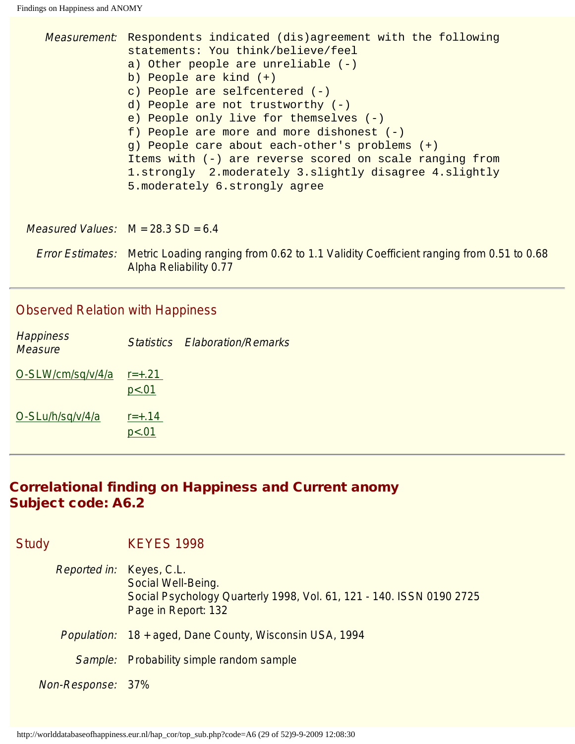|                                             | <i>Measurement</i> : Respondents indicated (dis)agreement with the following<br>statements: You think/believe/feel<br>a) Other people are unreliable $(-)$<br>b) People are kind (+)<br>c) People are selfcentered $(-)$<br>d) People are not trustworthy (-)<br>e) People only live for themselves $(-)$<br>f) People are more and more dishonest $(-)$<br>g) People care about each-other's problems (+)<br>Items with (-) are reverse scored on scale ranging from<br>1.strongly 2.moderately 3.slightly disagree 4.slightly<br>5. moderately 6. strongly agree |
|---------------------------------------------|--------------------------------------------------------------------------------------------------------------------------------------------------------------------------------------------------------------------------------------------------------------------------------------------------------------------------------------------------------------------------------------------------------------------------------------------------------------------------------------------------------------------------------------------------------------------|
| <i>Measured Values:</i> $M = 28.3 SD = 6.4$ |                                                                                                                                                                                                                                                                                                                                                                                                                                                                                                                                                                    |
|                                             | Error Estimates: Metric Loading ranging from 0.62 to 1.1 Validity Coefficient ranging from 0.51 to 0.68<br>Alpha Reliability 0.77                                                                                                                                                                                                                                                                                                                                                                                                                                  |

# Observed Relation with Happiness

| <b>Happiness</b><br><b>Measure</b> |                     | <b>Statistics Elaboration/Remarks</b> |
|------------------------------------|---------------------|---------------------------------------|
| O-SLW/cm/sq/v/4/a                  | $r = +.21$<br>p<.01 |                                       |
| O-SLu/h/sq/v/4/a                   | $r = +.14$<br>p<.01 |                                       |

# Correlational finding on Happiness and Current anomy Subject code: A6.2

| <b>Study</b> |                          | <b>KEYES 1998</b>                                                                                                 |
|--------------|--------------------------|-------------------------------------------------------------------------------------------------------------------|
|              | Reported in: Keyes, C.L. | Social Well-Being.<br>Social Psychology Quarterly 1998, Vol. 61, 121 - 140. ISSN 0190 2725<br>Page in Report: 132 |
|              |                          | <i>Population:</i> 18 + aged, Dane County, Wisconsin USA, 1994                                                    |
|              |                          | Sample: Probability simple random sample                                                                          |
|              | Non-Response: 37%        |                                                                                                                   |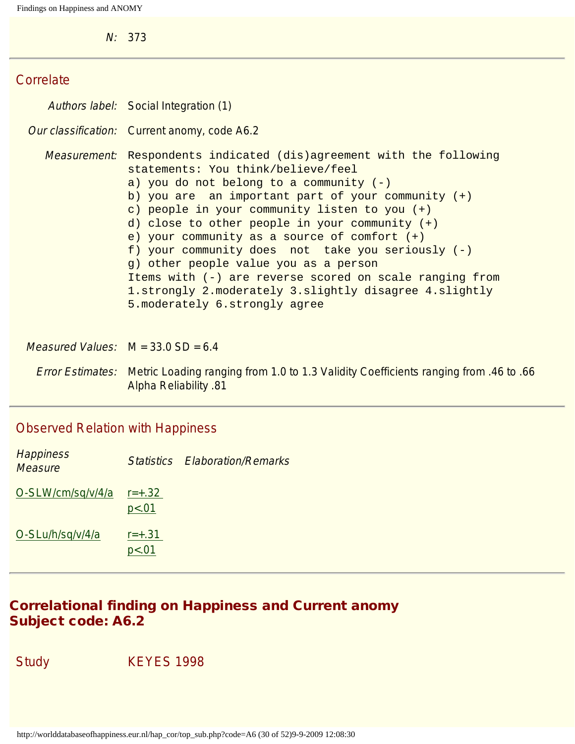N: 373

### **Correlate**

|                                             | Authors label: Social Integration (1)                                                                                                                                                                                                                                                                                                                                                                                                                                                                                                                                                                                                  |
|---------------------------------------------|----------------------------------------------------------------------------------------------------------------------------------------------------------------------------------------------------------------------------------------------------------------------------------------------------------------------------------------------------------------------------------------------------------------------------------------------------------------------------------------------------------------------------------------------------------------------------------------------------------------------------------------|
|                                             | Our classification: Current anomy, code A6.2                                                                                                                                                                                                                                                                                                                                                                                                                                                                                                                                                                                           |
|                                             | <i>Measurement</i> : Respondents indicated (dis)agreement with the following<br>statements: You think/believe/feel<br>a) you do not belong to a community $(-)$<br>b) you are an important part of your community $(+)$<br>c) people in your community listen to you (+)<br>d) close to other people in your community $(+)$<br>e) your community as a source of comfort $(+)$<br>f) your community does not take you seriously $(-)$<br>g) other people value you as a person<br>Items with (-) are reverse scored on scale ranging from<br>1.strongly 2.moderately 3.slightly disagree 4.slightly<br>5. moderately 6. strongly agree |
| <i>Measured Values:</i> $M = 33.0 SD = 6.4$ |                                                                                                                                                                                                                                                                                                                                                                                                                                                                                                                                                                                                                                        |

Error Estimates: Metric Loading ranging from 1.0 to 1.3 Validity Coefficients ranging from .46 to .66 Alpha Reliability .81

## Observed Relation with Happiness

| <b>Happiness</b><br><b>Measure</b> |                     | <b>Statistics Elaboration/Remarks</b> |
|------------------------------------|---------------------|---------------------------------------|
| O-SLW/cm/sq/v/4/a                  | $r = +.32$<br>p<.01 |                                       |
| O-SLu/h/sq/v/4/a                   | $r = +.31$<br>p<.01 |                                       |

## Correlational finding on Happiness and Current anomy Subject code: A6.2

Study **KEYES** 1998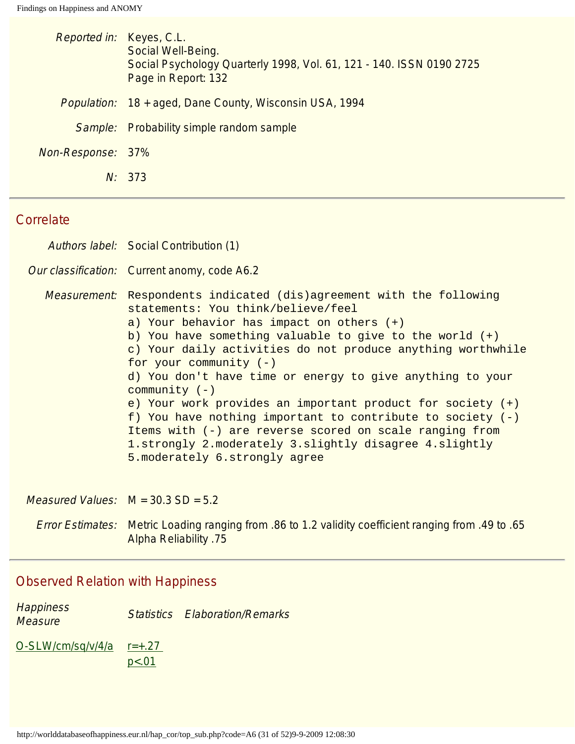| Reported in: Keyes, C.L. | Social Well-Being.<br>Social Psychology Quarterly 1998, Vol. 61, 121 - 140. ISSN 0190 2725<br>Page in Report: 132 |
|--------------------------|-------------------------------------------------------------------------------------------------------------------|
|                          | Population: 18 + aged, Dane County, Wisconsin USA, 1994                                                           |
|                          | <i>Sample:</i> Probability simple random sample                                                                   |
| Non-Response: 37%        |                                                                                                                   |
|                          | N: 373                                                                                                            |

# **Correlate**

| Authors label: Social Contribution (1)                                                                                                                                                                                                                                                                                                                                                                                                                                                                                                                                                                                                                                                            |
|---------------------------------------------------------------------------------------------------------------------------------------------------------------------------------------------------------------------------------------------------------------------------------------------------------------------------------------------------------------------------------------------------------------------------------------------------------------------------------------------------------------------------------------------------------------------------------------------------------------------------------------------------------------------------------------------------|
| Our classification: Current anomy, code A6.2                                                                                                                                                                                                                                                                                                                                                                                                                                                                                                                                                                                                                                                      |
| <i>Measurement</i> : Respondents indicated (dis)agreement with the following<br>statements: You think/believe/feel<br>a) Your behavior has impact on others $(+)$<br>b) You have something valuable to give to the world $(+)$<br>c) Your daily activities do not produce anything worthwhile<br>for your community $(-)$<br>d) You don't have time or energy to give anything to your<br>community $(-)$<br>e) Your work provides an important product for society $(+)$<br>f) You have nothing important to contribute to society $(-)$<br>Items with (-) are reverse scored on scale ranging from<br>1.strongly 2.moderately 3.slightly disagree 4.slightly<br>5. moderately 6. strongly agree |

Measured Values:  $M = 30.3 SD = 5.2$ 

Error Estimates: Metric Loading ranging from .86 to 1.2 validity coefficient ranging from .49 to .65 Alpha Reliability .75

## Observed Relation with Happiness

**Happiness Trappriless**<br>Measure **Statistics Elaboration/Remarks** 

 $O-SLW/cm/sq/v/4/a$   $r=+.27$ [p<.01](#page-45-0)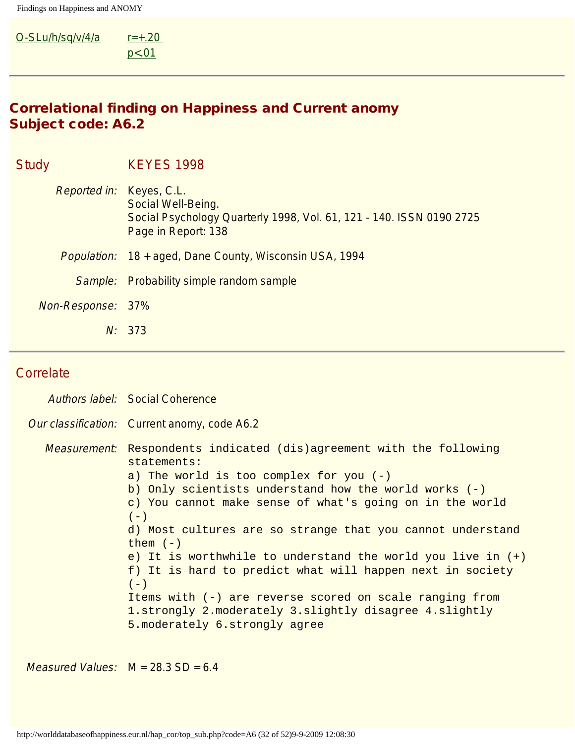#### $O-SLu/h/sq/v/4/a$   $r=+.20$  $p < .01$

# Correlational finding on Happiness and Current anomy Subject code: A6.2

| <b>Study</b> |                          | <b>KEYES 1998</b>                                                                                                 |
|--------------|--------------------------|-------------------------------------------------------------------------------------------------------------------|
|              | Reported in: Keyes, C.L. | Social Well-Being.<br>Social Psychology Quarterly 1998, Vol. 61, 121 - 140. ISSN 0190 2725<br>Page in Report: 138 |
|              |                          | Population: 18 + aged, Dane County, Wisconsin USA, 1994                                                           |
|              |                          | <i>Sample:</i> Probability simple random sample                                                                   |
|              | Non-Response: 37%        |                                                                                                                   |
|              | N:                       | 373                                                                                                               |

# **Correlate**

| Authors label: Social Coherence                                                                                                                                                                                                                                                                                                                                                                                                                                                                                                                                                                                                                     |
|-----------------------------------------------------------------------------------------------------------------------------------------------------------------------------------------------------------------------------------------------------------------------------------------------------------------------------------------------------------------------------------------------------------------------------------------------------------------------------------------------------------------------------------------------------------------------------------------------------------------------------------------------------|
| Our classification: Current anomy, code A6.2                                                                                                                                                                                                                                                                                                                                                                                                                                                                                                                                                                                                        |
| <i>Measurement</i> : Respondents indicated (dis)agreement with the following<br>statements:<br>a) The world is too complex for you $(-)$<br>b) Only scientists understand how the world works $(-)$<br>c) You cannot make sense of what's going on in the world<br>$(-)$<br>d) Most cultures are so strange that you cannot understand<br>them $(-)$<br>e) It is worthwhile to understand the world you live in $(+)$<br>f) It is hard to predict what will happen next in society<br>$(-)$<br>Items with (-) are reverse scored on scale ranging from<br>1.strongly 2.moderately 3.slightly disagree 4.slightly<br>5. moderately 6. strongly agree |

Measured Values:  $M = 28.3 SD = 6.4$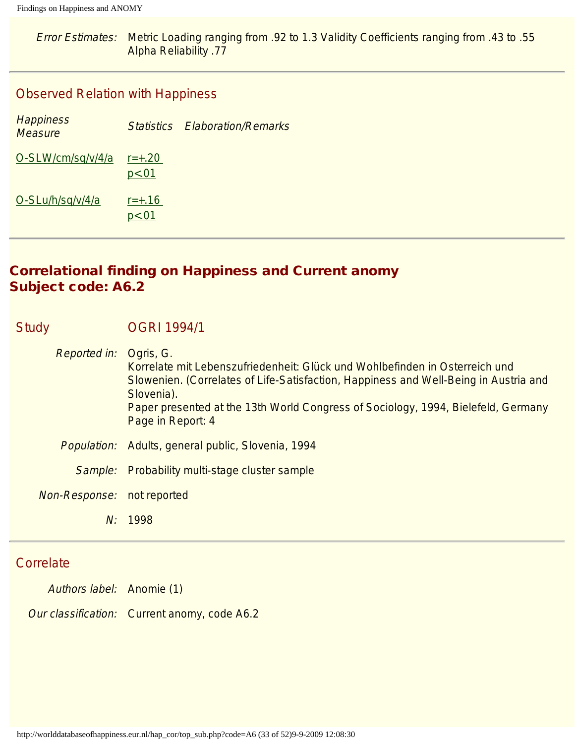Error Estimates: Metric Loading ranging from .92 to 1.3 Validity Coefficients ranging from .43 to .55 Alpha Reliability .77

#### Observed Relation with Happiness

| <b>Happiness</b><br><b>Measure</b> | <b>Statistics</b>     | <b>Elaboration/Remarks</b> |
|------------------------------------|-----------------------|----------------------------|
| O-SLW/cm/sq/v/4/a                  | $r = +.20$<br>p < .01 |                            |
| O-SLu/h/sq/v/4/a                   | $r = +.16$<br>p < .01 |                            |

# Correlational finding on Happiness and Current anomy Subject code: A6.2

| <b>Study</b>        | <b>OGRI 1994/1</b>                                                                                                                                                                                                                                                                                       |
|---------------------|----------------------------------------------------------------------------------------------------------------------------------------------------------------------------------------------------------------------------------------------------------------------------------------------------------|
| <b>Reported in:</b> | Ogris, G.<br>Korrelate mit Lebenszufriedenheit: Glück und Wohlbefinden in Osterreich und<br>Slowenien. (Correlates of Life-Satisfaction, Happiness and Well-Being in Austria and<br>Slovenia).<br>Paper presented at the 13th World Congress of Sociology, 1994, Bielefeld, Germany<br>Page in Report: 4 |
|                     | <i>Population:</i> Adults, general public, Slovenia, 1994                                                                                                                                                                                                                                                |
| Sample:             | Probability multi-stage cluster sample                                                                                                                                                                                                                                                                   |
| Non-Response:       | not reported                                                                                                                                                                                                                                                                                             |
|                     | N: 1998                                                                                                                                                                                                                                                                                                  |
|                     |                                                                                                                                                                                                                                                                                                          |

# **Correlate**

Authors label: Anomie (1)

Our classification: Current anomy, code A6.2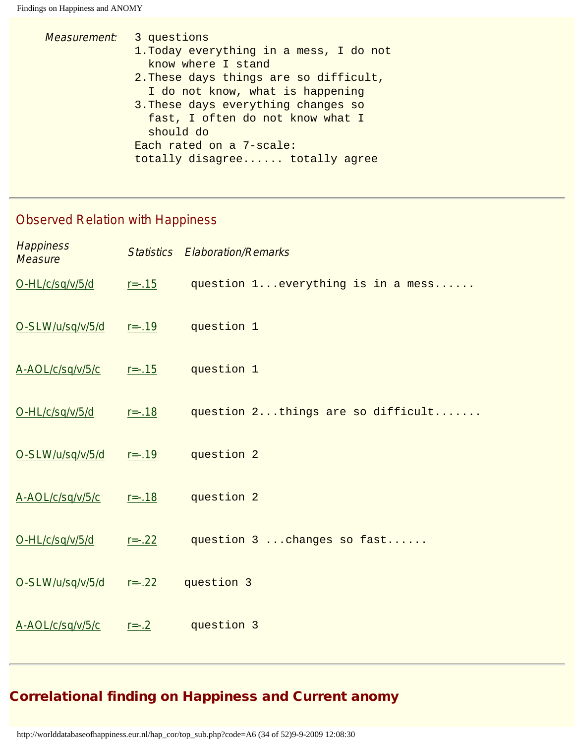| <i>Measurement:</i> 3 questions         |  |  |
|-----------------------------------------|--|--|
| 1. Today everything in a mess, I do not |  |  |
| know where I stand                      |  |  |
| 2. These days things are so difficult,  |  |  |
| I do not know, what is happening        |  |  |
| 3. These days everything changes so     |  |  |
| fast, I often do not know what I        |  |  |
| should do                               |  |  |
| Each rated on a 7-scale:                |  |  |
| totally disagree totally agree          |  |  |
|                                         |  |  |

# Observed Relation with Happiness

| <b>Happiness</b><br><b>Measure</b> |             | <b>Statistics Elaboration/Remarks</b> |
|------------------------------------|-------------|---------------------------------------|
| O-HL/c/sq/v/5/d                    | $r = -0.15$ | question 1 everything is in a mess    |
| O-SLW/u/sq/v/5/d                   | $r = -0.19$ | question 1                            |
| A-AOL/c/sq/v/5/c                   | $r = -0.15$ | question 1                            |
| O-HL/c/sq/v/5/d                    | $r = -0.18$ | question 2things are so difficult     |
| O-SLW/u/sq/v/5/d                   | $r = -0.19$ | question 2                            |
| A-AOL/c/sq/v/5/c                   | $r = -0.18$ | question 2                            |
| O-HL/c/sq/v/5/d                    | $r = -.22$  | question 3  changes so fast           |
| O-SLW/u/sq/v/5/d                   | $r = -.22$  | question 3                            |
| A-AOL/c/sq/v/5/c                   | $r = -.2$   | question 3                            |

# Correlational finding on Happiness and Current anomy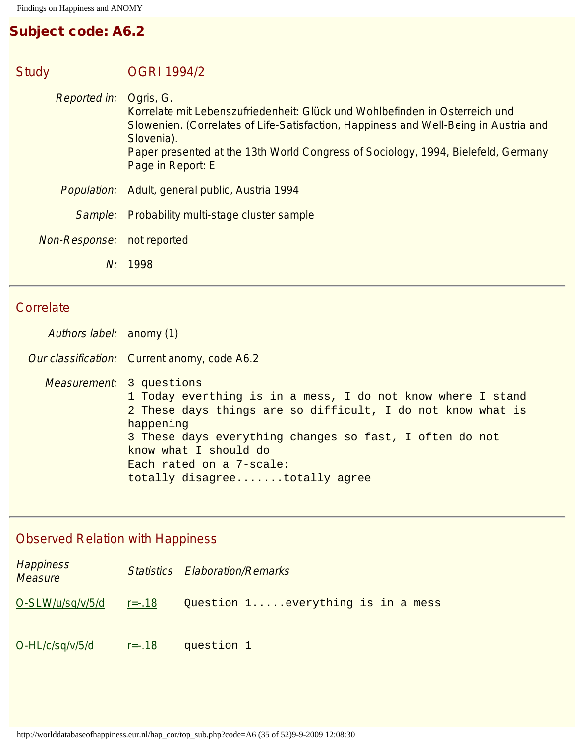# Subject code: A6.2

| <b>Study</b> |                     | <b>OGRI 1994/2</b>                                                                                                                                                                                                                                                                                       |
|--------------|---------------------|----------------------------------------------------------------------------------------------------------------------------------------------------------------------------------------------------------------------------------------------------------------------------------------------------------|
|              | <b>Reported in:</b> | Ogris, G.<br>Korrelate mit Lebenszufriedenheit: Glück und Wohlbefinden in Osterreich und<br>Slowenien. (Correlates of Life-Satisfaction, Happiness and Well-Being in Austria and<br>Slovenia).<br>Paper presented at the 13th World Congress of Sociology, 1994, Bielefeld, Germany<br>Page in Report: E |
|              | <i>Population:</i>  | Adult, general public, Austria 1994                                                                                                                                                                                                                                                                      |
|              | Sample:             | Probability multi-stage cluster sample                                                                                                                                                                                                                                                                   |
|              | Non-Response:       | not reported                                                                                                                                                                                                                                                                                             |
|              |                     | N: 1998                                                                                                                                                                                                                                                                                                  |
|              |                     |                                                                                                                                                                                                                                                                                                          |

# **Correlate**

| Authors label: anomy (1) |                                                                                                                                                                                                                                                                                                                             |
|--------------------------|-----------------------------------------------------------------------------------------------------------------------------------------------------------------------------------------------------------------------------------------------------------------------------------------------------------------------------|
|                          | Our classification: Current anomy, code A6.2                                                                                                                                                                                                                                                                                |
|                          | <i>Measurement:</i> 3 questions<br>1 Today everthing is in a mess, I do not know where I stand<br>2 These days things are so difficult, I do not know what is<br>happening<br>3 These days everything changes so fast, I often do not<br>know what I should do<br>Each rated on a 7-scale:<br>totally disagreetotally agree |

| <b>Happiness</b><br><b>Measure</b> |             | <b>Statistics Elaboration/Remarks</b> |
|------------------------------------|-------------|---------------------------------------|
| O-SLW/u/sq/v/5/d                   | $r = -0.18$ | Question 1 everything is in a mess    |
| O-HL/c/sq/v/5/d                    | $r = -0.18$ | question 1                            |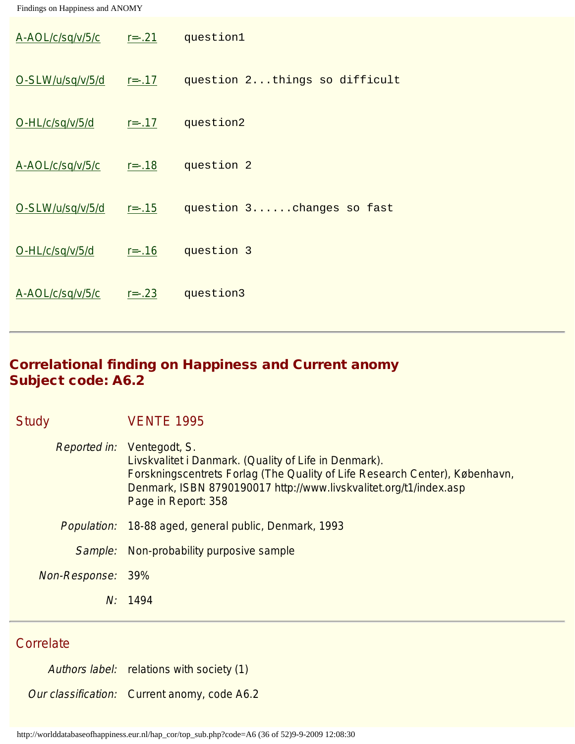| A-AOL/c/sq/v/5/c | $r = -.21$  | question1                     |
|------------------|-------------|-------------------------------|
| O-SLW/u/sq/v/5/d | $r = -0.17$ | question 2things so difficult |
| O-HL/c/sq/v/5/d  | $r = -0.17$ | question2                     |
| A-AOL/c/sq/v/5/c | $r = -0.18$ | question 2                    |
| O-SLW/u/sq/v/5/d | $r = -0.15$ | question 3changes so fast     |
| O-HL/c/sq/v/5/d  | $r = -0.16$ | question 3                    |
| A-AOL/c/sq/v/5/c | $r = -0.23$ | question3                     |

# Correlational finding on Happiness and Current anomy Subject code: A6.2

| <b>Study</b> |               | <b>VENTE 1995</b>                                                                                                                                                                                                                                                     |
|--------------|---------------|-----------------------------------------------------------------------------------------------------------------------------------------------------------------------------------------------------------------------------------------------------------------------|
|              |               | <i>Reported in:</i> Ventegodt, S.<br>Livskvalitet i Danmark. (Quality of Life in Denmark).<br>Forskningscentrets Forlag (The Quality of Life Research Center), København,<br>Denmark, ISBN 8790190017 http://www.livskvalitet.org/t1/index.asp<br>Page in Report: 358 |
|              |               | <i>Population:</i> 18-88 aged, general public, Denmark, 1993                                                                                                                                                                                                          |
|              | Sample:       | Non-probability purposive sample                                                                                                                                                                                                                                      |
|              | Non-Response: | 39%                                                                                                                                                                                                                                                                   |
|              |               | N: 1494                                                                                                                                                                                                                                                               |
|              |               |                                                                                                                                                                                                                                                                       |

### **Correlate**

Authors label: relations with society (1)

Our classification: Current anomy, code A6.2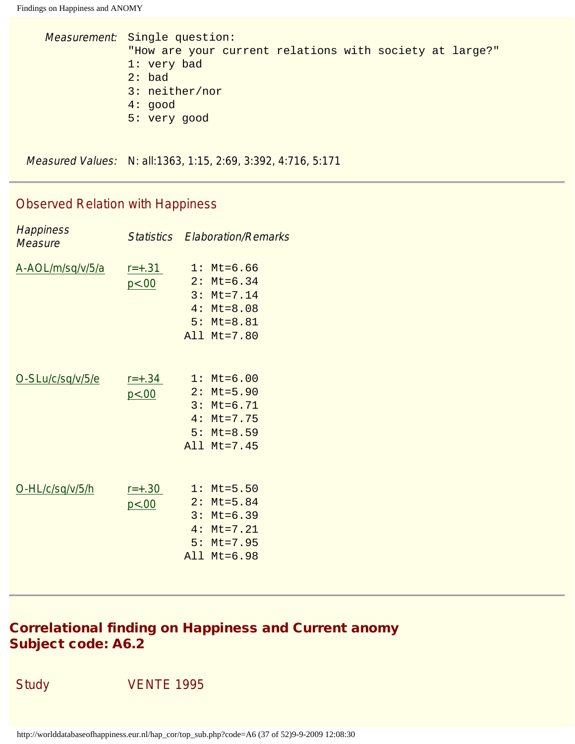```
Measurement: Single question:
"How are your current relations with society at large?"
1: very bad
2: bad
3: neither/nor
4: good
5: very good
```
Measured Values: N: all:1363, 1:15, 2:69, 3:392, 4:716, 5:171

#### Observed Relation with Happiness

| <b>Happiness</b><br>Measure |                       | <b>Statistics Elaboration/Remarks</b>                                                           |
|-----------------------------|-----------------------|-------------------------------------------------------------------------------------------------|
| A-AOL/m/sq/v/5/a            | $r = +.31$<br>p < .00 | $1: Mt=6.66$<br>$2: Mt=6.34$<br>$3: Mt=7.14$<br>$4: Mt = 8.08$<br>$5: Mt = 8.81$<br>All Mt=7.80 |
| O-SLu/c/sq/v/5/e            | $r = +.34$<br>p<.00   | $1: Mt=6.00$<br>$2: Mt=5.90$<br>$3: Mt=6.71$<br>$4: Mt=7.75$<br>$5: Mt = 8.59$<br>All Mt=7.45   |
| O-HL/c/sq/v/5/h             | $r = +.30$<br>p < .00 | $1: Mt = 5.50$<br>$2: Mt=5.84$<br>$3: Mt=6.39$<br>$4: Mt=7.21$<br>$5: Mt = 7.95$<br>All Mt=6.98 |
|                             |                       |                                                                                                 |

# Correlational finding on Happiness and Current anomy Subject code: A6.2

Study **VENTE 1995**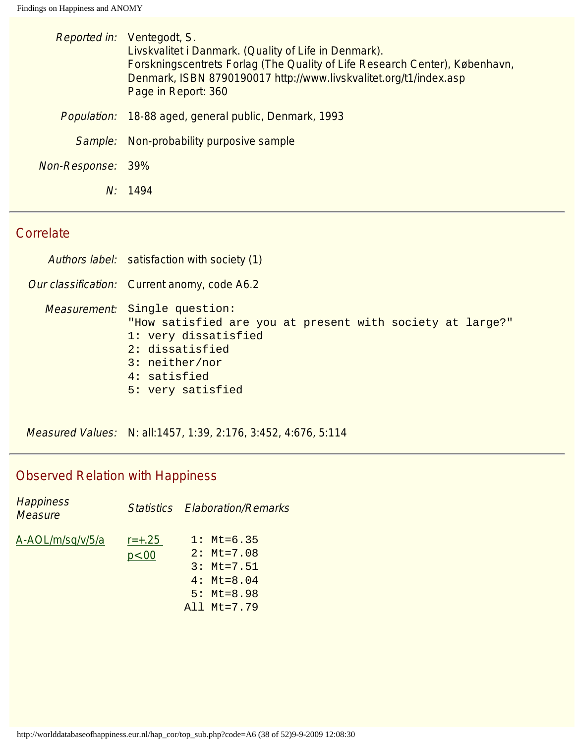|                   | Reported in: Ventegodt, S.<br>Livskvalitet i Danmark. (Quality of Life in Denmark).<br>Forskningscentrets Forlag (The Quality of Life Research Center), København,<br>Denmark, ISBN 8790190017 http://www.livskvalitet.org/t1/index.asp<br>Page in Report: 360 |  |
|-------------------|----------------------------------------------------------------------------------------------------------------------------------------------------------------------------------------------------------------------------------------------------------------|--|
| Population:       | 18-88 aged, general public, Denmark, 1993                                                                                                                                                                                                                      |  |
|                   | Sample: Non-probability purposive sample                                                                                                                                                                                                                       |  |
| Non-Response: 39% |                                                                                                                                                                                                                                                                |  |
|                   | N: 1494                                                                                                                                                                                                                                                        |  |
|                   |                                                                                                                                                                                                                                                                |  |

#### **Correlate**

Authors label: satisfaction with society (1)

Our classification: Current anomy, code A6.2

Measurement: Single question: "How satisfied are you at present with society at large?" 1: very dissatisfied

- 2: dissatisfied
- 3: neither/nor
- 4: satisfied
- 5: very satisfied

Measured Values: N: all:1457, 1:39, 2:176, 3:452, 4:676, 5:114

| <b>Happiness</b><br><b>Measure</b> |            | <b>Statistics Elaboration/Remarks</b> |
|------------------------------------|------------|---------------------------------------|
| A-AOL/m/sq/v/5/a                   | $r = +.25$ | $1: Mt=6.35$                          |
|                                    | p<.00      | $2: \text{Mt} = 7.08$                 |
|                                    |            | $3: Mt=7.51$                          |
|                                    |            | $4: \text{Mt} = 8.04$                 |
|                                    |            | $5: \text{Mt} = 8.98$                 |
|                                    |            | All Mt=7.79                           |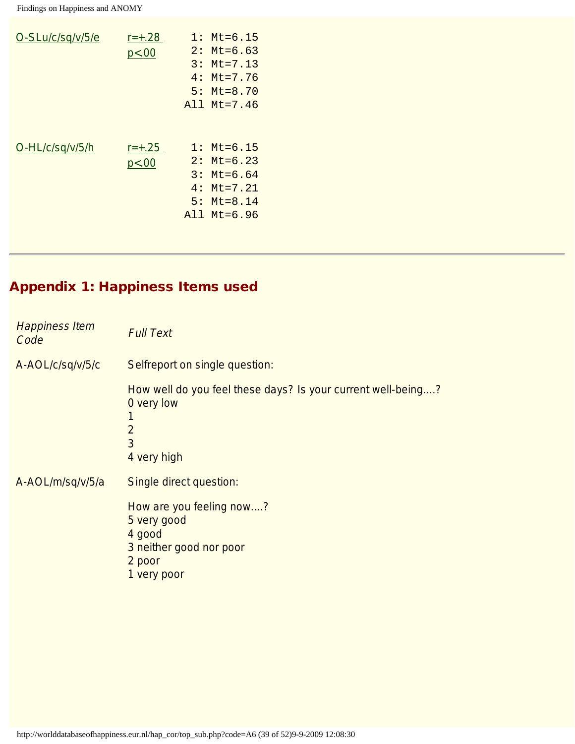| O-SLu/c/sq/v/5/e | $r = +.28$<br>p<.00 | 2:<br>3:<br>4 : | $1: \mathsf{Mt} = 6.15$<br>$Mt = 6.63$<br>$Mt = 7.13$<br>$Mt = 7.76$<br>$5: \text{Mt} = 8.70$<br>$A11$ Mt=7.46 |
|------------------|---------------------|-----------------|----------------------------------------------------------------------------------------------------------------|
| O-HL/c/sq/v/5/h  | $r = +.25$<br>p<.00 | 2:<br>4 :       | $1: \mathsf{Mt} = 6.15$<br>$Mt = 6.23$<br>$3: \text{Mt} = 6.64$<br>$Mt = 7.21$<br>$5:$ Mt=8.14<br>All Mt=6.96  |

# Appendix 1: Happiness Items used

<span id="page-38-2"></span><span id="page-38-1"></span><span id="page-38-0"></span>

| <b>Happiness Item</b><br>Code | <b>Full Text</b>                                                                                                                   |
|-------------------------------|------------------------------------------------------------------------------------------------------------------------------------|
| A-AOL/c/sq/v/5/c              | Selfreport on single question:                                                                                                     |
|                               | How well do you feel these days? Is your current well-being?<br>0 very low<br>1<br>$\overline{2}$<br>$\overline{3}$<br>4 very high |
| A-AOL/m/sq/v/5/a              | Single direct question:                                                                                                            |
|                               | How are you feeling now?<br>5 very good<br>4 good<br>3 neither good nor poor<br>2 poor<br>1 very poor                              |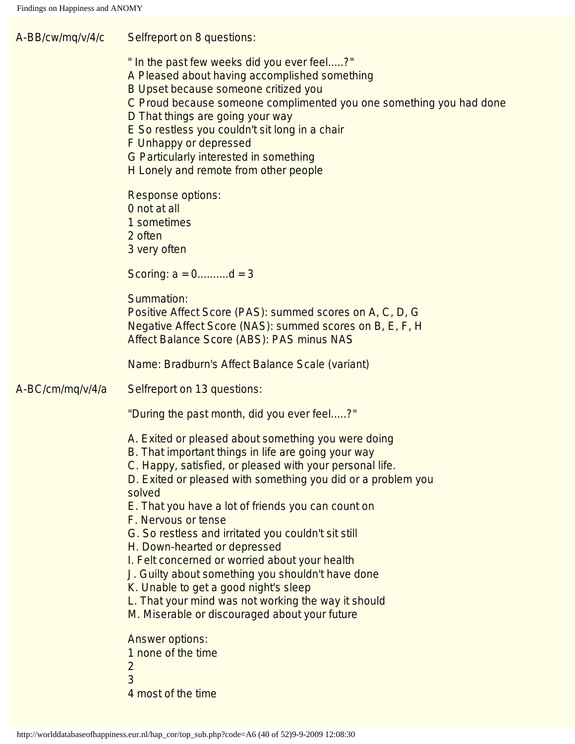<span id="page-39-0"></span>A-BB/cw/mq/v/4/c Selfreport on 8 questions: " In the past few weeks did you ever feel.....?" A Pleased about having accomplished something B Upset because someone critized you C Proud because someone complimented you one something you had done D That things are going your way E So restless you couldn't sit long in a chair F Unhappy or depressed G Particularly interested in something H Lonely and remote from other people Response options: 0 not at all 1 sometimes 2 often 3 very often Scoring:  $a = 0$ ......... $d = 3$ Summation: Positive Affect Score (PAS): summed scores on A, C, D, G Negative Affect Score (NAS): summed scores on B, E, F, H Affect Balance Score (ABS): PAS minus NAS Name: Bradburn's Affect Balance Scale (variant) A-BC/cm/mq/v/4/a Selfreport on 13 questions: "During the past month, did you ever feel.....?" A. Exited or pleased about something you were doing B. That important things in life are going your way C. Happy, satisfied, or pleased with your personal life. D. Exited or pleased with something you did or a problem you solved E. That you have a lot of friends you can count on F. Nervous or tense G. So restless and irritated you couldn't sit still H. Down-hearted or depressed I. Felt concerned or worried about your health J. Guilty about something you shouldn't have done K. Unable to get a good night's sleep L. That your mind was not working the way it should M. Miserable or discouraged about your future Answer options: 1 none of the time 2 3 4 most of the time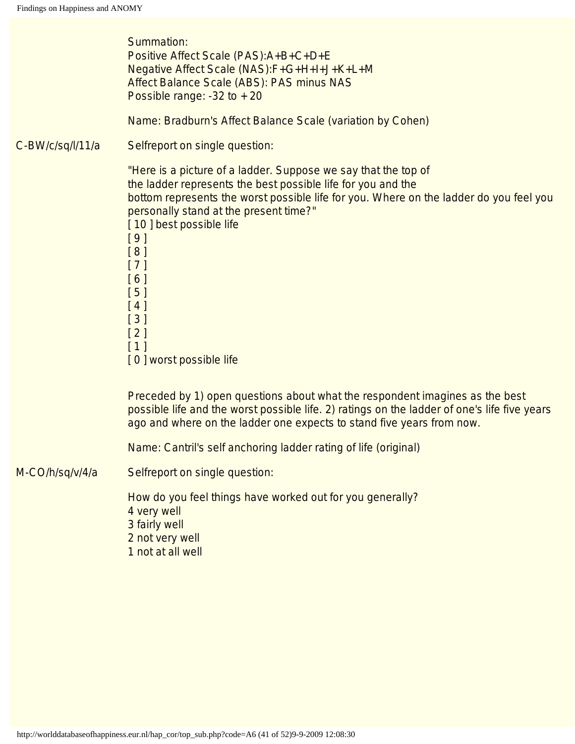<span id="page-40-2"></span><span id="page-40-1"></span><span id="page-40-0"></span>

|                  | Summation:<br>Positive Affect Scale (PAS): A+B+C+D+E<br>Negative Affect Scale (NAS):F+G+H+I+J+K+L+M<br>Affect Balance Scale (ABS): PAS minus NAS<br>Possible range: $-32$ to $+20$                                                                                                                                                                                                                |
|------------------|---------------------------------------------------------------------------------------------------------------------------------------------------------------------------------------------------------------------------------------------------------------------------------------------------------------------------------------------------------------------------------------------------|
|                  | Name: Bradburn's Affect Balance Scale (variation by Cohen)                                                                                                                                                                                                                                                                                                                                        |
| C-BW/c/sq/l/11/a | Selfreport on single question:                                                                                                                                                                                                                                                                                                                                                                    |
|                  | "Here is a picture of a ladder. Suppose we say that the top of<br>the ladder represents the best possible life for you and the<br>bottom represents the worst possible life for you. Where on the ladder do you feel you<br>personally stand at the present time?"<br>[10] best possible life<br>[9]<br>[8]<br>$[7]$<br>[6]<br>$[5]$<br>[4]<br>$[3]$<br>$[2]$<br>$[1]$<br>[0] worst possible life |
|                  | Preceded by 1) open questions about what the respondent imagines as the best<br>possible life and the worst possible life. 2) ratings on the ladder of one's life five years<br>ago and where on the ladder one expects to stand five years from now.                                                                                                                                             |
|                  | Name: Cantril's self anchoring ladder rating of life (original)                                                                                                                                                                                                                                                                                                                                   |
| M-CO/h/sq/v/4/a  | Selfreport on single question:                                                                                                                                                                                                                                                                                                                                                                    |
|                  | How do you feel things have worked out for you generally?<br>4 very well<br>3 fairly well<br>2 not very well<br>1 not at all well                                                                                                                                                                                                                                                                 |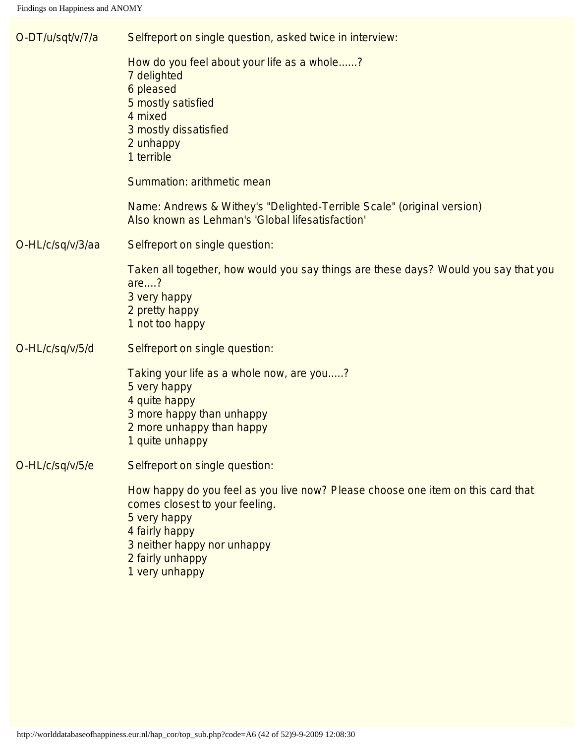<span id="page-41-3"></span><span id="page-41-2"></span><span id="page-41-1"></span><span id="page-41-0"></span>

| O-DT/u/sqt/v/7/a | Selfreport on single question, asked twice in interview:                                                                                                                                                                 |
|------------------|--------------------------------------------------------------------------------------------------------------------------------------------------------------------------------------------------------------------------|
|                  | How do you feel about your life as a whole?<br>7 delighted<br>6 pleased<br>5 mostly satisfied<br>4 mixed<br>3 mostly dissatisfied<br>2 unhappy<br>1 terrible                                                             |
|                  | Summation: arithmetic mean                                                                                                                                                                                               |
|                  | Name: Andrews & Withey's "Delighted-Terrible Scale" (original version)<br>Also known as Lehman's 'Global lifesatisfaction'                                                                                               |
| O-HL/c/sq/v/3/aa | Selfreport on single question:                                                                                                                                                                                           |
|                  | Taken all together, how would you say things are these days? Would you say that you<br>are?<br>3 very happy<br>2 pretty happy<br>1 not too happy                                                                         |
| O-HL/c/sq/v/5/d  | Selfreport on single question:                                                                                                                                                                                           |
|                  | Taking your life as a whole now, are you?<br>5 very happy<br>4 quite happy<br>3 more happy than unhappy<br>2 more unhappy than happy<br>1 quite unhappy                                                                  |
| O-HL/c/sq/v/5/e  | Selfreport on single question:                                                                                                                                                                                           |
|                  | How happy do you feel as you live now? Please choose one item on this card that<br>comes closest to your feeling.<br>5 very happy<br>4 fairly happy<br>3 neither happy nor unhappy<br>2 fairly unhappy<br>1 very unhappy |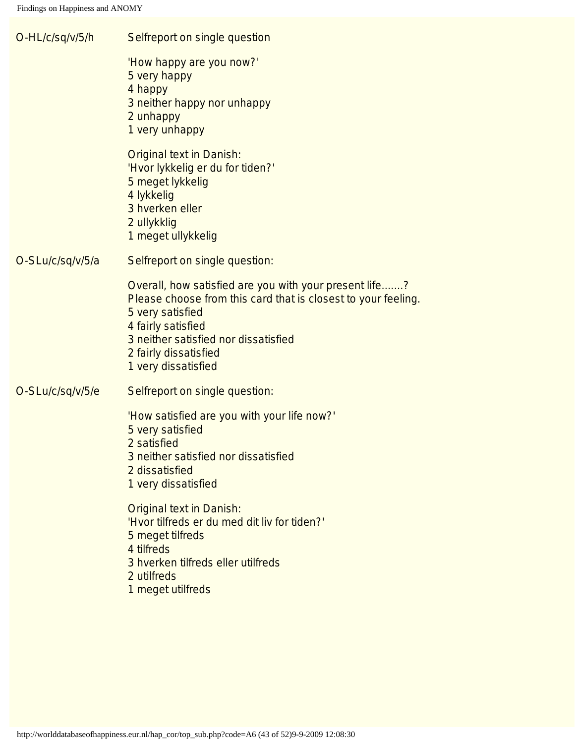<span id="page-42-2"></span><span id="page-42-1"></span><span id="page-42-0"></span>

| O-HL/c/sq/v/5/h  | Selfreport on single question                                                                                                                                                                                                                             |
|------------------|-----------------------------------------------------------------------------------------------------------------------------------------------------------------------------------------------------------------------------------------------------------|
|                  | 'How happy are you now?'<br>5 very happy<br>4 happy<br>3 neither happy nor unhappy<br>2 unhappy<br>1 very unhappy                                                                                                                                         |
|                  | <b>Original text in Danish:</b><br>'Hvor lykkelig er du for tiden?'<br>5 meget lykkelig<br>4 lykkelig<br>3 hverken eller<br>2 ullykklig<br>1 meget ullykkelig                                                                                             |
| O-SLu/c/sq/v/5/a | Selfreport on single question:                                                                                                                                                                                                                            |
|                  | Overall, how satisfied are you with your present life?<br>Please choose from this card that is closest to your feeling.<br>5 very satisfied<br>4 fairly satisfied<br>3 neither satisfied nor dissatisfied<br>2 fairly dissatisfied<br>1 very dissatisfied |
| O-SLu/c/sq/v/5/e | Selfreport on single question:                                                                                                                                                                                                                            |
|                  | 'How satisfied are you with your life now?'<br>5 very satisfied<br>2 satisfied<br>3 neither satisfied nor dissatisfied<br>2 dissatisfied<br>1 very dissatisfied                                                                                           |
|                  | <b>Original text in Danish:</b><br>'Hvor tilfreds er du med dit liv for tiden?'<br>5 meget tilfreds<br>4 tilfreds<br>3 hverken tilfreds eller utilfreds<br>2 utilfreds<br>1 meget utilfreds                                                               |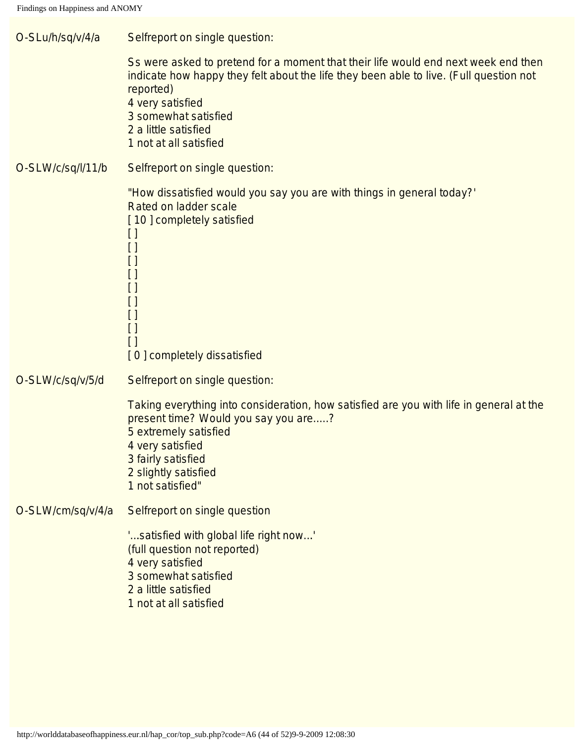<span id="page-43-3"></span><span id="page-43-2"></span><span id="page-43-1"></span><span id="page-43-0"></span>

| O-SLu/h/sq/v/4/a  | Selfreport on single question:                                                                                                                                                                                                                                                          |
|-------------------|-----------------------------------------------------------------------------------------------------------------------------------------------------------------------------------------------------------------------------------------------------------------------------------------|
|                   | Ss were asked to pretend for a moment that their life would end next week end then<br>indicate how happy they felt about the life they been able to live. (Full question not<br>reported)<br>4 very satisfied<br>3 somewhat satisfied<br>2 a little satisfied<br>1 not at all satisfied |
| O-SLW/c/sq/l/11/b | Selfreport on single question:                                                                                                                                                                                                                                                          |
|                   | "How dissatisfied would you say you are with things in general today?"<br>Rated on ladder scale<br>[10] completely satisfied<br>$[ \ ]$<br>$\Box$<br>$\left[ \ \right]$<br>$\Box$<br>[]<br>$[ \ ]$<br>$\Box$<br>$\left[ \ \right]$<br>$\Box$<br>[0] completely dissatisfied             |
| O-SLW/c/sq/v/5/d  | Selfreport on single question:                                                                                                                                                                                                                                                          |
|                   | Taking everything into consideration, how satisfied are you with life in general at the<br>present time? Would you say you are?<br>5 extremely satisfied<br>4 very satisfied<br>3 fairly satisfied<br>2 slightly satisfied<br>1 not satisfied"                                          |
| O-SLW/cm/sq/v/4/a | Selfreport on single question                                                                                                                                                                                                                                                           |
|                   | 'satisfied with global life right now'<br>(full question not reported)<br>4 very satisfied<br>3 somewhat satisfied<br>2 a little satisfied<br>1 not at all satisfied                                                                                                                    |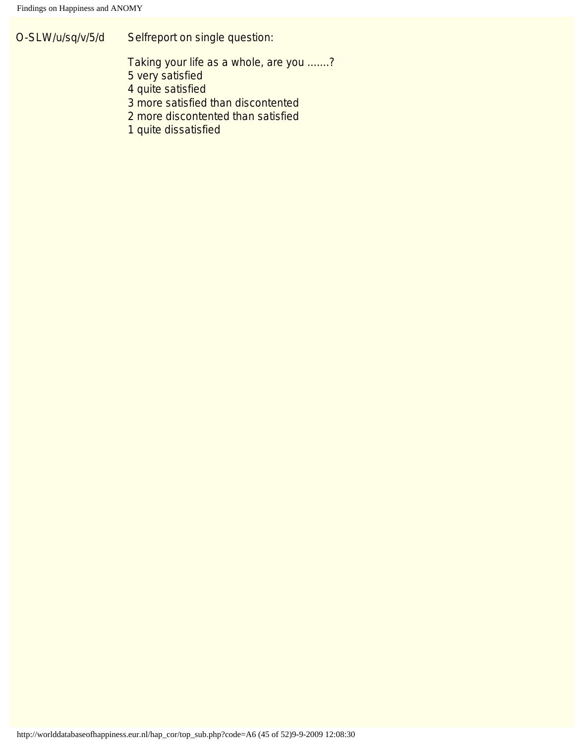O-SLW/u/sq/v/5/d Selfreport on single question:

Taking your life as a whole, are you .......?

5 very satisfied

4 quite satisfied

3 more satisfied than discontented

2 more discontented than satisfied

1 quite dissatisfied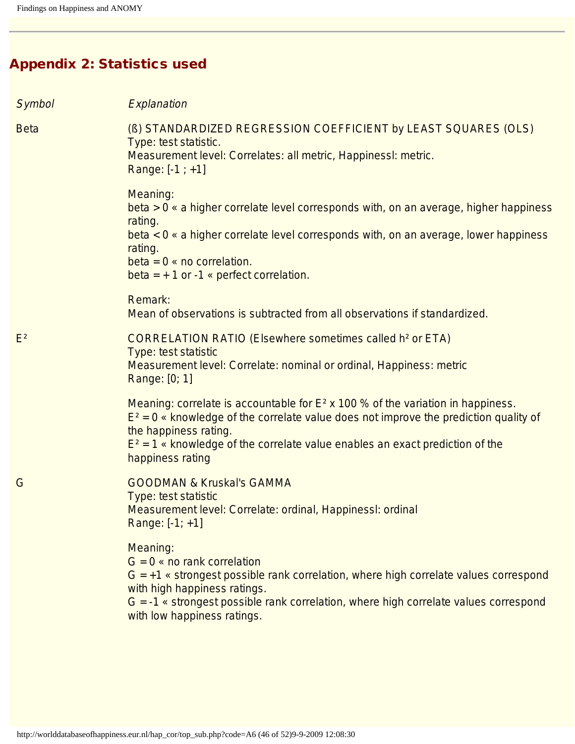# Appendix 2: Statistics used

<span id="page-45-3"></span><span id="page-45-2"></span><span id="page-45-1"></span><span id="page-45-0"></span>

| Symbol      | Explanation                                                                                                                                                                                                                                                                                                   |
|-------------|---------------------------------------------------------------------------------------------------------------------------------------------------------------------------------------------------------------------------------------------------------------------------------------------------------------|
| <b>Beta</b> | (B) STANDARDIZED REGRESSION COEFFICIENT by LEAST SQUARES (OLS)<br>Type: test statistic.<br>Measurement level: Correlates: all metric, Happinessl: metric.<br>Range: $[-1; +1]$                                                                                                                                |
|             | Meaning:<br>beta > 0 « a higher correlate level corresponds with, on an average, higher happiness<br>rating.<br>beta < 0 « a higher correlate level corresponds with, on an average, lower happiness<br>rating.<br>beta = $0 \times no$ correlation.<br>beta = $+1$ or -1 « perfect correlation.              |
|             | Remark:<br>Mean of observations is subtracted from all observations if standardized.                                                                                                                                                                                                                          |
| $E^2$       | <b>CORRELATION RATIO (Elsewhere sometimes called h<sup>2</sup> or ETA)</b><br>Type: test statistic<br>Measurement level: Correlate: nominal or ordinal, Happiness: metric<br>Range: [0; 1]                                                                                                                    |
|             | Meaning: correlate is accountable for $E^2$ x 100 % of the variation in happiness.<br>$E^2 = 0$ « knowledge of the correlate value does not improve the prediction quality of<br>the happiness rating.<br>$E^2 = 1$ « knowledge of the correlate value enables an exact prediction of the<br>happiness rating |
| G           | <b>GOODMAN &amp; Kruskal's GAMMA</b><br>Type: test statistic<br>Measurement level: Correlate: ordinal, Happinessl: ordinal<br>Range: [-1; +1]                                                                                                                                                                 |
|             | Meaning:<br>$G = 0$ « no rank correlation<br>$G = +1$ « strongest possible rank correlation, where high correlate values correspond<br>with high happiness ratings.<br>$G = -1$ « strongest possible rank correlation, where high correlate values correspond<br>with low happiness ratings.                  |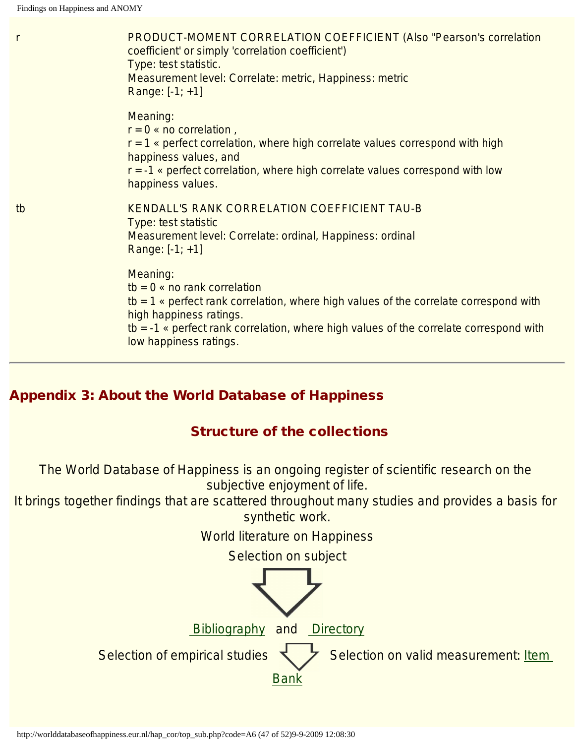<span id="page-46-0"></span>

| $\mathsf{r}$ | <b>PRODUCT-MOMENT CORRELATION COEFFICIENT (Also "Pearson's correlation</b><br>coefficient' or simply 'correlation coefficient')<br>Type: test statistic.<br>Measurement level: Correlate: metric, Happiness: metric<br>Range: $[-1; +1]$                                                      |
|--------------|-----------------------------------------------------------------------------------------------------------------------------------------------------------------------------------------------------------------------------------------------------------------------------------------------|
|              | Meaning:<br>$r = 0$ « no correlation,<br>$r = 1$ « perfect correlation, where high correlate values correspond with high<br>happiness values, and<br>$r = -1$ « perfect correlation, where high correlate values correspond with low<br>happiness values.                                     |
| tb           | KENDALL'S RANK CORRELATION COEFFICIENT TAU-B<br>Type: test statistic<br>Measurement level: Correlate: ordinal, Happiness: ordinal<br>Range: $[-1; +1]$                                                                                                                                        |
|              | Meaning:<br>$tb = 0$ « no rank correlation<br>tb = 1 $\epsilon$ perfect rank correlation, where high values of the correlate correspond with<br>high happiness ratings.<br>$tb = -1$ « perfect rank correlation, where high values of the correlate correspond with<br>low happiness ratings. |

# Appendix 3: About the World Database of Happiness

## Structure of the collections

The World Database of Happiness is an ongoing register of scientific research on the subjective enjoyment of life.

It brings together findings that are scattered throughout many studies and provides a basis for synthetic work.

World literature on Happiness

Selection on subject

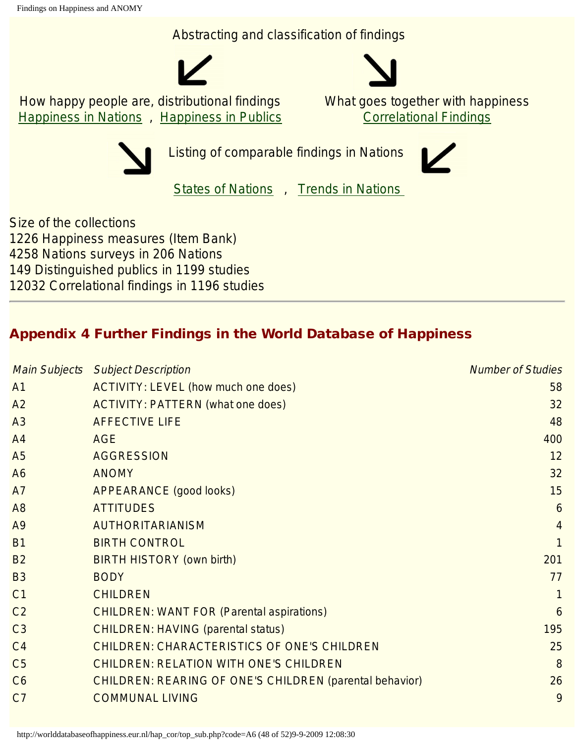Abstracting and classification of findings





How happy people are, distributional findings [Happiness in Nations](http://worlddatabaseofhappiness.eur.nl/hap_nat/nat_fp.php) , [Happiness in Publics](http://worlddatabaseofhappiness.eur.nl/hap_pub/pub_fp.php) What goes together with happiness [Correlational Findings](http://worlddatabaseofhappiness.eur.nl/hap_cor/cor_fp.htm)



Listing of comparable findings in Nations

[States of Nations](http://worlddatabaseofhappiness.eur.nl/statnat/datafile_nations.htm) , [Trends in Nations](http://worlddatabaseofhappiness.eur.nl/trendnat/framepage.htm)

Size of the collections 1226 Happiness measures (Item Bank) 4258 Nations surveys in 206 Nations 149 Distinguished publics in 1199 studies 12032 Correlational findings in 1196 studies

# Appendix 4 Further Findings in the World Database of Happiness

|                | <b>Main Subjects Subject Description</b>                       | <b>Number of Studies</b> |
|----------------|----------------------------------------------------------------|--------------------------|
| A <sub>1</sub> | ACTIVITY: LEVEL (how much one does)                            | 58                       |
| A2             | <b>ACTIVITY: PATTERN (what one does)</b>                       | 32                       |
| A3             | <b>AFFECTIVE LIFE</b>                                          | 48                       |
| A <sub>4</sub> | <b>AGE</b>                                                     | 400                      |
| A <sub>5</sub> | <b>AGGRESSION</b>                                              | 12                       |
| A <sub>6</sub> | <b>ANOMY</b>                                                   | 32                       |
| A7             | <b>APPEARANCE (good looks)</b>                                 | 15                       |
| A <sub>8</sub> | <b>ATTITUDES</b>                                               | 6                        |
| A9             | <b>AUTHORITARIANISM</b>                                        | $\overline{4}$           |
| <b>B1</b>      | <b>BIRTH CONTROL</b>                                           | 1                        |
| <b>B2</b>      | <b>BIRTH HISTORY (own birth)</b>                               | 201                      |
| <b>B3</b>      | <b>BODY</b>                                                    | 77                       |
| C <sub>1</sub> | <b>CHILDREN</b>                                                | 1                        |
| C <sub>2</sub> | <b>CHILDREN: WANT FOR (Parental aspirations)</b>               | 6                        |
| C <sub>3</sub> | <b>CHILDREN: HAVING (parental status)</b>                      | 195                      |
| C <sub>4</sub> | <b>CHILDREN: CHARACTERISTICS OF ONE'S CHILDREN</b>             | 25                       |
| C <sub>5</sub> | <b>CHILDREN: RELATION WITH ONE'S CHILDREN</b>                  | 8                        |
| C6             | <b>CHILDREN: REARING OF ONE'S CHILDREN (parental behavior)</b> | 26                       |
| C <sub>7</sub> | <b>COMMUNAL LIVING</b>                                         | 9                        |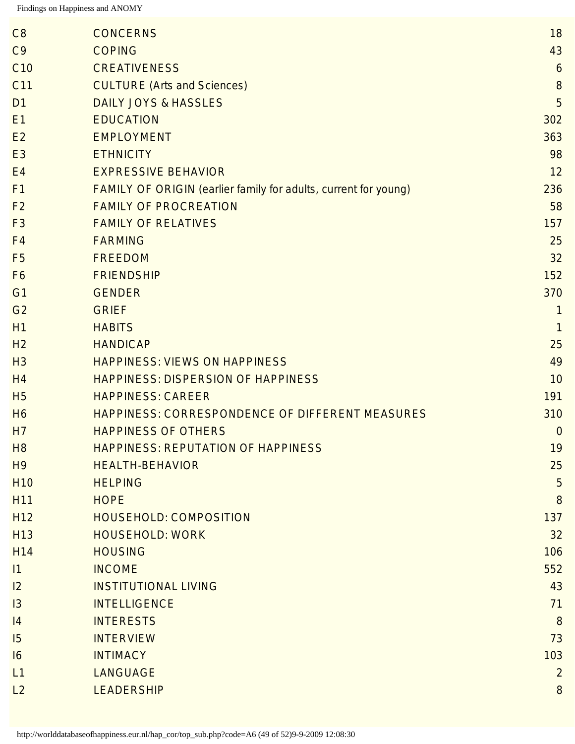| C <sub>9</sub><br><b>COPING</b><br>C <sub>10</sub><br><b>CREATIVENESS</b><br><b>CULTURE (Arts and Sciences)</b><br>C11<br><b>DAILY JOYS &amp; HASSLES</b><br>D <sub>1</sub><br><b>EDUCATION</b><br>E1<br><b>EMPLOYMENT</b><br>E2<br><b>ETHNICITY</b><br>E <sub>3</sub><br><b>EXPRESSIVE BEHAVIOR</b><br>E4<br><b>FAMILY OF ORIGIN (earlier family for adults, current for young)</b><br>F <sub>1</sub><br>F <sub>2</sub><br><b>FAMILY OF PROCREATION</b><br><b>FAMILY OF RELATIVES</b><br>F <sub>3</sub><br><b>FARMING</b><br>F <sub>4</sub><br><b>FREEDOM</b><br>F <sub>5</sub><br><b>FRIENDSHIP</b><br>F <sub>6</sub><br>G1<br><b>GENDER</b><br>G <sub>2</sub><br><b>GRIEF</b><br><b>HABITS</b><br>H <sub>1</sub><br>H <sub>2</sub><br><b>HANDICAP</b><br><b>HAPPINESS: VIEWS ON HAPPINESS</b><br>H <sub>3</sub><br><b>HAPPINESS: DISPERSION OF HAPPINESS</b><br>H <sub>4</sub><br><b>H5</b><br><b>HAPPINESS: CAREER</b><br>HAPPINESS: CORRESPONDENCE OF DIFFERENT MEASURES<br>H <sub>6</sub><br><b>HAPPINESS OF OTHERS</b><br>H7<br>H <sub>8</sub><br><b>HAPPINESS: REPUTATION OF HAPPINESS</b><br><b>HEALTH-BEHAVIOR</b><br>H <sub>9</sub><br><b>HELPING</b><br><b>H10</b><br><b>H11</b><br><b>HOPE</b><br>H <sub>12</sub><br><b>HOUSEHOLD: COMPOSITION</b><br><b>HOUSEHOLD: WORK</b><br>H <sub>13</sub><br><b>HOUSING</b><br>H <sub>14</sub><br><b>INCOME</b><br> 1<br><b>INSTITUTIONAL LIVING</b><br>12<br><b>INTELLIGENCE</b><br>13<br><b>INTERESTS</b><br> 4<br><b>INTERVIEW</b><br>15<br><b>INTIMACY</b><br>16<br><b>LANGUAGE</b><br>L1<br><b>LEADERSHIP</b><br>L2 | C8 | <b>CONCERNS</b> | 18             |
|-----------------------------------------------------------------------------------------------------------------------------------------------------------------------------------------------------------------------------------------------------------------------------------------------------------------------------------------------------------------------------------------------------------------------------------------------------------------------------------------------------------------------------------------------------------------------------------------------------------------------------------------------------------------------------------------------------------------------------------------------------------------------------------------------------------------------------------------------------------------------------------------------------------------------------------------------------------------------------------------------------------------------------------------------------------------------------------------------------------------------------------------------------------------------------------------------------------------------------------------------------------------------------------------------------------------------------------------------------------------------------------------------------------------------------------------------------------------------------------------------------------------------------------------------------------------------------|----|-----------------|----------------|
|                                                                                                                                                                                                                                                                                                                                                                                                                                                                                                                                                                                                                                                                                                                                                                                                                                                                                                                                                                                                                                                                                                                                                                                                                                                                                                                                                                                                                                                                                                                                                                             |    |                 | 43             |
|                                                                                                                                                                                                                                                                                                                                                                                                                                                                                                                                                                                                                                                                                                                                                                                                                                                                                                                                                                                                                                                                                                                                                                                                                                                                                                                                                                                                                                                                                                                                                                             |    |                 | 6              |
|                                                                                                                                                                                                                                                                                                                                                                                                                                                                                                                                                                                                                                                                                                                                                                                                                                                                                                                                                                                                                                                                                                                                                                                                                                                                                                                                                                                                                                                                                                                                                                             |    |                 | 8              |
|                                                                                                                                                                                                                                                                                                                                                                                                                                                                                                                                                                                                                                                                                                                                                                                                                                                                                                                                                                                                                                                                                                                                                                                                                                                                                                                                                                                                                                                                                                                                                                             |    |                 | 5              |
|                                                                                                                                                                                                                                                                                                                                                                                                                                                                                                                                                                                                                                                                                                                                                                                                                                                                                                                                                                                                                                                                                                                                                                                                                                                                                                                                                                                                                                                                                                                                                                             |    |                 | 302            |
|                                                                                                                                                                                                                                                                                                                                                                                                                                                                                                                                                                                                                                                                                                                                                                                                                                                                                                                                                                                                                                                                                                                                                                                                                                                                                                                                                                                                                                                                                                                                                                             |    |                 | 363            |
|                                                                                                                                                                                                                                                                                                                                                                                                                                                                                                                                                                                                                                                                                                                                                                                                                                                                                                                                                                                                                                                                                                                                                                                                                                                                                                                                                                                                                                                                                                                                                                             |    |                 | 98             |
|                                                                                                                                                                                                                                                                                                                                                                                                                                                                                                                                                                                                                                                                                                                                                                                                                                                                                                                                                                                                                                                                                                                                                                                                                                                                                                                                                                                                                                                                                                                                                                             |    |                 | 12             |
|                                                                                                                                                                                                                                                                                                                                                                                                                                                                                                                                                                                                                                                                                                                                                                                                                                                                                                                                                                                                                                                                                                                                                                                                                                                                                                                                                                                                                                                                                                                                                                             |    |                 | 236            |
|                                                                                                                                                                                                                                                                                                                                                                                                                                                                                                                                                                                                                                                                                                                                                                                                                                                                                                                                                                                                                                                                                                                                                                                                                                                                                                                                                                                                                                                                                                                                                                             |    |                 | 58             |
|                                                                                                                                                                                                                                                                                                                                                                                                                                                                                                                                                                                                                                                                                                                                                                                                                                                                                                                                                                                                                                                                                                                                                                                                                                                                                                                                                                                                                                                                                                                                                                             |    |                 | 157            |
|                                                                                                                                                                                                                                                                                                                                                                                                                                                                                                                                                                                                                                                                                                                                                                                                                                                                                                                                                                                                                                                                                                                                                                                                                                                                                                                                                                                                                                                                                                                                                                             |    |                 | 25             |
|                                                                                                                                                                                                                                                                                                                                                                                                                                                                                                                                                                                                                                                                                                                                                                                                                                                                                                                                                                                                                                                                                                                                                                                                                                                                                                                                                                                                                                                                                                                                                                             |    |                 | 32             |
|                                                                                                                                                                                                                                                                                                                                                                                                                                                                                                                                                                                                                                                                                                                                                                                                                                                                                                                                                                                                                                                                                                                                                                                                                                                                                                                                                                                                                                                                                                                                                                             |    |                 | 152            |
|                                                                                                                                                                                                                                                                                                                                                                                                                                                                                                                                                                                                                                                                                                                                                                                                                                                                                                                                                                                                                                                                                                                                                                                                                                                                                                                                                                                                                                                                                                                                                                             |    |                 | 370            |
|                                                                                                                                                                                                                                                                                                                                                                                                                                                                                                                                                                                                                                                                                                                                                                                                                                                                                                                                                                                                                                                                                                                                                                                                                                                                                                                                                                                                                                                                                                                                                                             |    |                 | 1              |
|                                                                                                                                                                                                                                                                                                                                                                                                                                                                                                                                                                                                                                                                                                                                                                                                                                                                                                                                                                                                                                                                                                                                                                                                                                                                                                                                                                                                                                                                                                                                                                             |    |                 | $\mathbf{1}$   |
|                                                                                                                                                                                                                                                                                                                                                                                                                                                                                                                                                                                                                                                                                                                                                                                                                                                                                                                                                                                                                                                                                                                                                                                                                                                                                                                                                                                                                                                                                                                                                                             |    |                 | 25             |
|                                                                                                                                                                                                                                                                                                                                                                                                                                                                                                                                                                                                                                                                                                                                                                                                                                                                                                                                                                                                                                                                                                                                                                                                                                                                                                                                                                                                                                                                                                                                                                             |    |                 | 49             |
|                                                                                                                                                                                                                                                                                                                                                                                                                                                                                                                                                                                                                                                                                                                                                                                                                                                                                                                                                                                                                                                                                                                                                                                                                                                                                                                                                                                                                                                                                                                                                                             |    |                 | 10             |
|                                                                                                                                                                                                                                                                                                                                                                                                                                                                                                                                                                                                                                                                                                                                                                                                                                                                                                                                                                                                                                                                                                                                                                                                                                                                                                                                                                                                                                                                                                                                                                             |    |                 | 191            |
|                                                                                                                                                                                                                                                                                                                                                                                                                                                                                                                                                                                                                                                                                                                                                                                                                                                                                                                                                                                                                                                                                                                                                                                                                                                                                                                                                                                                                                                                                                                                                                             |    |                 | 310            |
|                                                                                                                                                                                                                                                                                                                                                                                                                                                                                                                                                                                                                                                                                                                                                                                                                                                                                                                                                                                                                                                                                                                                                                                                                                                                                                                                                                                                                                                                                                                                                                             |    |                 | $\overline{0}$ |
|                                                                                                                                                                                                                                                                                                                                                                                                                                                                                                                                                                                                                                                                                                                                                                                                                                                                                                                                                                                                                                                                                                                                                                                                                                                                                                                                                                                                                                                                                                                                                                             |    |                 | 19             |
|                                                                                                                                                                                                                                                                                                                                                                                                                                                                                                                                                                                                                                                                                                                                                                                                                                                                                                                                                                                                                                                                                                                                                                                                                                                                                                                                                                                                                                                                                                                                                                             |    |                 | 25             |
|                                                                                                                                                                                                                                                                                                                                                                                                                                                                                                                                                                                                                                                                                                                                                                                                                                                                                                                                                                                                                                                                                                                                                                                                                                                                                                                                                                                                                                                                                                                                                                             |    |                 | 5              |
|                                                                                                                                                                                                                                                                                                                                                                                                                                                                                                                                                                                                                                                                                                                                                                                                                                                                                                                                                                                                                                                                                                                                                                                                                                                                                                                                                                                                                                                                                                                                                                             |    |                 | 8              |
|                                                                                                                                                                                                                                                                                                                                                                                                                                                                                                                                                                                                                                                                                                                                                                                                                                                                                                                                                                                                                                                                                                                                                                                                                                                                                                                                                                                                                                                                                                                                                                             |    |                 | 137            |
|                                                                                                                                                                                                                                                                                                                                                                                                                                                                                                                                                                                                                                                                                                                                                                                                                                                                                                                                                                                                                                                                                                                                                                                                                                                                                                                                                                                                                                                                                                                                                                             |    |                 | 32             |
|                                                                                                                                                                                                                                                                                                                                                                                                                                                                                                                                                                                                                                                                                                                                                                                                                                                                                                                                                                                                                                                                                                                                                                                                                                                                                                                                                                                                                                                                                                                                                                             |    |                 | 106            |
|                                                                                                                                                                                                                                                                                                                                                                                                                                                                                                                                                                                                                                                                                                                                                                                                                                                                                                                                                                                                                                                                                                                                                                                                                                                                                                                                                                                                                                                                                                                                                                             |    |                 | 552            |
|                                                                                                                                                                                                                                                                                                                                                                                                                                                                                                                                                                                                                                                                                                                                                                                                                                                                                                                                                                                                                                                                                                                                                                                                                                                                                                                                                                                                                                                                                                                                                                             |    |                 | 43             |
|                                                                                                                                                                                                                                                                                                                                                                                                                                                                                                                                                                                                                                                                                                                                                                                                                                                                                                                                                                                                                                                                                                                                                                                                                                                                                                                                                                                                                                                                                                                                                                             |    |                 | 71             |
|                                                                                                                                                                                                                                                                                                                                                                                                                                                                                                                                                                                                                                                                                                                                                                                                                                                                                                                                                                                                                                                                                                                                                                                                                                                                                                                                                                                                                                                                                                                                                                             |    |                 | 8              |
|                                                                                                                                                                                                                                                                                                                                                                                                                                                                                                                                                                                                                                                                                                                                                                                                                                                                                                                                                                                                                                                                                                                                                                                                                                                                                                                                                                                                                                                                                                                                                                             |    |                 | 73             |
|                                                                                                                                                                                                                                                                                                                                                                                                                                                                                                                                                                                                                                                                                                                                                                                                                                                                                                                                                                                                                                                                                                                                                                                                                                                                                                                                                                                                                                                                                                                                                                             |    |                 | 103            |
|                                                                                                                                                                                                                                                                                                                                                                                                                                                                                                                                                                                                                                                                                                                                                                                                                                                                                                                                                                                                                                                                                                                                                                                                                                                                                                                                                                                                                                                                                                                                                                             |    |                 | $\overline{2}$ |
|                                                                                                                                                                                                                                                                                                                                                                                                                                                                                                                                                                                                                                                                                                                                                                                                                                                                                                                                                                                                                                                                                                                                                                                                                                                                                                                                                                                                                                                                                                                                                                             |    |                 | 8              |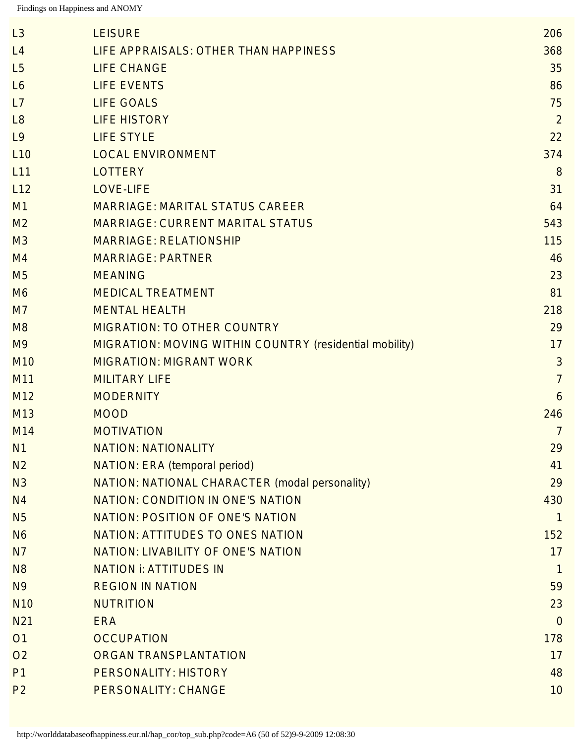| L3              | <b>LEISURE</b>                                                 | 206            |
|-----------------|----------------------------------------------------------------|----------------|
| L4              | LIFE APPRAISALS: OTHER THAN HAPPINESS                          | 368            |
| L5              | <b>LIFE CHANGE</b>                                             | 35             |
| L6              | <b>LIFE EVENTS</b>                                             | 86             |
| L7              | <b>LIFE GOALS</b>                                              | 75             |
| L8              | <b>LIFE HISTORY</b>                                            | $\overline{2}$ |
| L9              | <b>LIFE STYLE</b>                                              | 22             |
| L10             | <b>LOCAL ENVIRONMENT</b>                                       | 374            |
| L11             | <b>LOTTERY</b>                                                 | 8              |
| L12             | <b>LOVE-LIFE</b>                                               | 31             |
| M1              | <b>MARRIAGE: MARITAL STATUS CAREER</b>                         | 64             |
| M <sub>2</sub>  | <b>MARRIAGE: CURRENT MARITAL STATUS</b>                        | 543            |
| M <sub>3</sub>  | <b>MARRIAGE: RELATIONSHIP</b>                                  | 115            |
| M <sub>4</sub>  | <b>MARRIAGE: PARTNER</b>                                       | 46             |
| M <sub>5</sub>  | <b>MEANING</b>                                                 | 23             |
| M <sub>6</sub>  | <b>MEDICAL TREATMENT</b>                                       | 81             |
| M <sub>7</sub>  | <b>MENTAL HEALTH</b>                                           | 218            |
| M8              | <b>MIGRATION: TO OTHER COUNTRY</b>                             | 29             |
| M <sub>9</sub>  | <b>MIGRATION: MOVING WITHIN COUNTRY (residential mobility)</b> | 17             |
| M <sub>10</sub> | <b>MIGRATION: MIGRANT WORK</b>                                 | 3              |
| M11             | <b>MILITARY LIFE</b>                                           | $\overline{7}$ |
| M <sub>12</sub> | <b>MODERNITY</b>                                               | 6              |
| M <sub>13</sub> | <b>MOOD</b>                                                    | 246            |
| M14             | <b>MOTIVATION</b>                                              | $\overline{7}$ |
| N1              | <b>NATION: NATIONALITY</b>                                     | 29             |
| N <sub>2</sub>  | <b>NATION: ERA (temporal period)</b>                           | 41             |
| N <sub>3</sub>  | NATION: NATIONAL CHARACTER (modal personality)                 | 29             |
| N <sub>4</sub>  | <b>NATION: CONDITION IN ONE'S NATION</b>                       | 430            |
| <b>N5</b>       | <b>NATION: POSITION OF ONE'S NATION</b>                        | $\mathbf{1}$   |
| <b>N6</b>       | <b>NATION: ATTITUDES TO ONES NATION</b>                        | 152            |
| N <sub>7</sub>  | <b>NATION: LIVABILITY OF ONE'S NATION</b>                      | 17             |
| N <sub>8</sub>  | <b>NATION i: ATTITUDES IN</b>                                  | $\mathbf{1}$   |
| N <sub>9</sub>  | <b>REGION IN NATION</b>                                        | 59             |
| <b>N10</b>      | <b>NUTRITION</b>                                               | 23             |
| N21             | <b>ERA</b>                                                     | $\theta$       |
| O <sub>1</sub>  | <b>OCCUPATION</b>                                              | 178            |
| O <sub>2</sub>  | <b>ORGAN TRANSPLANTATION</b>                                   | 17             |
| P <sub>1</sub>  | <b>PERSONALITY: HISTORY</b>                                    | 48             |
| P <sub>2</sub>  | <b>PERSONALITY: CHANGE</b>                                     | 10             |
|                 |                                                                |                |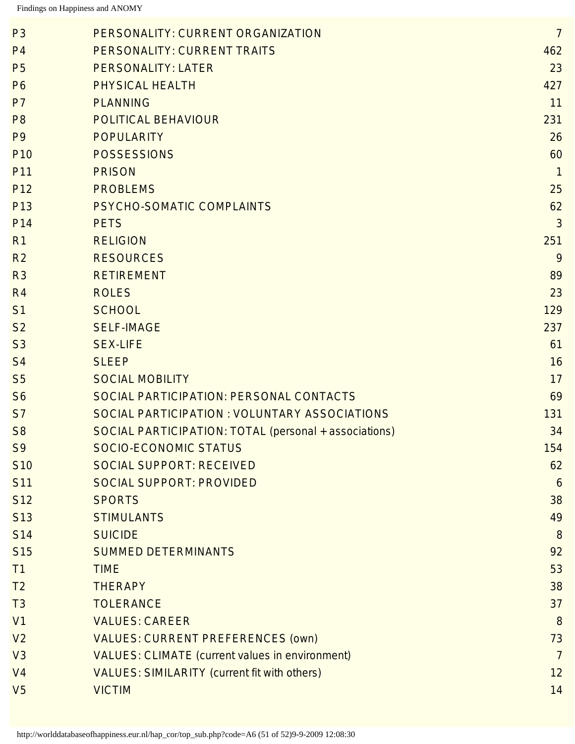| P <sub>3</sub>  | PERSONALITY: CURRENT ORGANIZATION                      | $\overline{7}$ |
|-----------------|--------------------------------------------------------|----------------|
| P <sub>4</sub>  | PERSONALITY: CURRENT TRAITS                            | 462            |
| <b>P5</b>       | <b>PERSONALITY: LATER</b>                              | 23             |
| P <sub>6</sub>  | <b>PHYSICAL HEALTH</b>                                 | 427            |
| P <sub>7</sub>  | <b>PLANNING</b>                                        | 11             |
| P <sub>8</sub>  | <b>POLITICAL BEHAVIOUR</b>                             | 231            |
| P <sub>9</sub>  | <b>POPULARITY</b>                                      | 26             |
| P <sub>10</sub> | <b>POSSESSIONS</b>                                     | 60             |
| P <sub>11</sub> | <b>PRISON</b>                                          | $\mathbf{1}$   |
| P <sub>12</sub> | <b>PROBLEMS</b>                                        | 25             |
| P <sub>13</sub> | PSYCHO-SOMATIC COMPLAINTS                              | 62             |
| P <sub>14</sub> | <b>PETS</b>                                            | $\mathfrak{Z}$ |
| R <sub>1</sub>  | <b>RELIGION</b>                                        | 251            |
| R <sub>2</sub>  | <b>RESOURCES</b>                                       | 9              |
| R <sub>3</sub>  | <b>RETIREMENT</b>                                      | 89             |
| R <sub>4</sub>  | <b>ROLES</b>                                           | 23             |
| S <sub>1</sub>  | <b>SCHOOL</b>                                          | 129            |
| S <sub>2</sub>  | <b>SELF-IMAGE</b>                                      | 237            |
| S <sub>3</sub>  | <b>SEX-LIFE</b>                                        | 61             |
| S <sub>4</sub>  | <b>SLEEP</b>                                           | 16             |
| S <sub>5</sub>  | <b>SOCIAL MOBILITY</b>                                 | 17             |
| S <sub>6</sub>  | <b>SOCIAL PARTICIPATION: PERSONAL CONTACTS</b>         | 69             |
| S <sub>7</sub>  | SOCIAL PARTICIPATION : VOLUNTARY ASSOCIATIONS          | 131            |
| S <sub>8</sub>  | SOCIAL PARTICIPATION: TOTAL (personal + associations)  | 34             |
| S <sub>9</sub>  | SOCIO-ECONOMIC STATUS                                  | 154            |
| <b>S10</b>      | <b>SOCIAL SUPPORT: RECEIVED</b>                        | 62             |
| <b>S11</b>      | <b>SOCIAL SUPPORT: PROVIDED</b>                        | 6              |
| S <sub>12</sub> | <b>SPORTS</b>                                          | 38             |
| S <sub>13</sub> | <b>STIMULANTS</b>                                      | 49             |
| <b>S14</b>      | <b>SUICIDE</b>                                         | 8              |
| S <sub>15</sub> | <b>SUMMED DETERMINANTS</b>                             | 92             |
| T1              | <b>TIME</b>                                            | 53             |
| T <sub>2</sub>  | <b>THERAPY</b>                                         | 38             |
| T3              | <b>TOLERANCE</b>                                       | 37             |
| V <sub>1</sub>  | <b>VALUES: CAREER</b>                                  | 8              |
| V <sub>2</sub>  | <b>VALUES: CURRENT PREFERENCES (OWN)</b>               | 73             |
| V3              | <b>VALUES: CLIMATE (current values in environment)</b> | $\overline{7}$ |
| V <sub>4</sub>  | <b>VALUES: SIMILARITY (current fit with others)</b>    | 12             |
| V <sub>5</sub>  | <b>VICTIM</b>                                          | 14             |
|                 |                                                        |                |